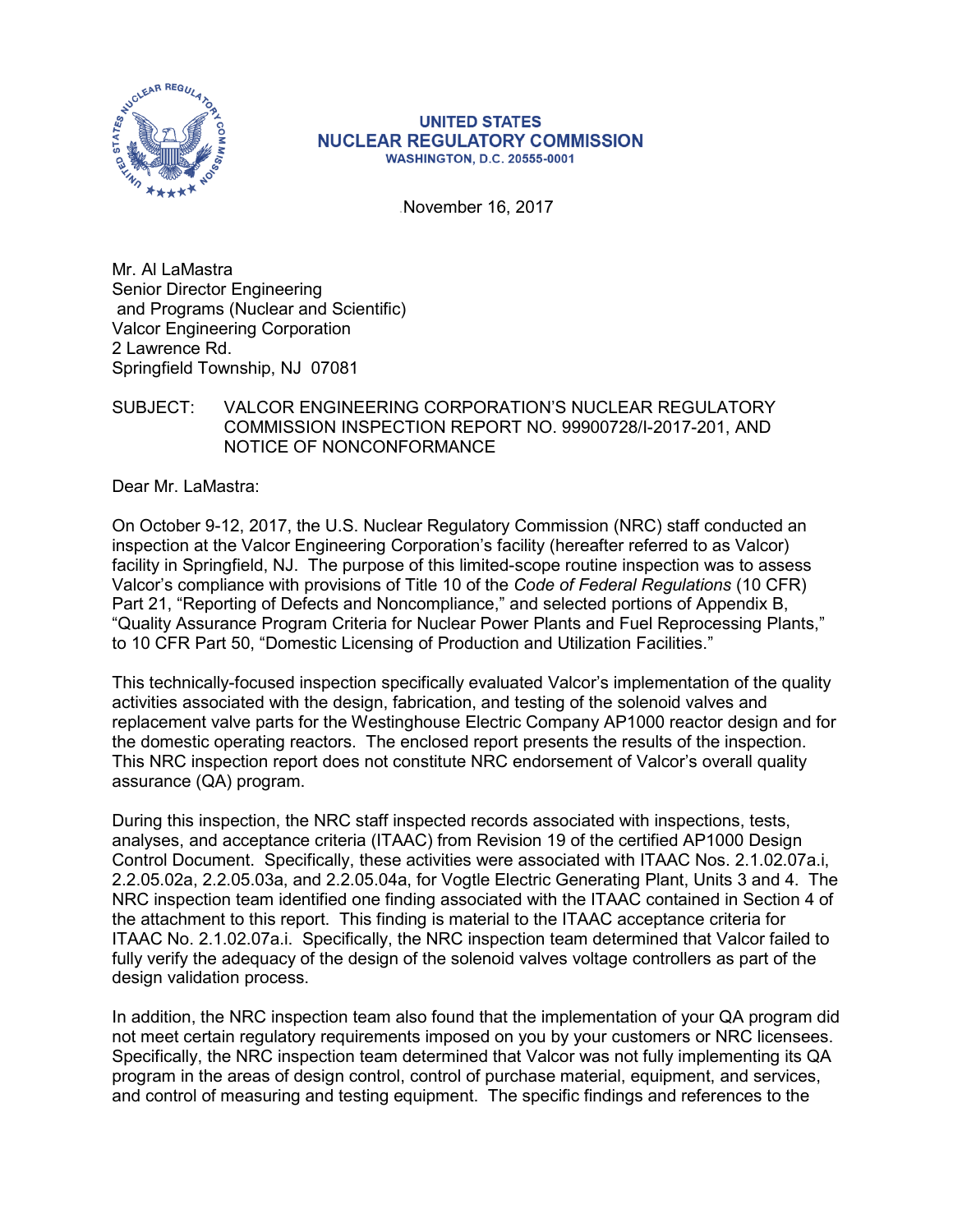

#### **UNITED STATES NUCLEAR REGULATORY COMMISSION WASHINGTON, D.C. 20555-0001**

.November 16, 2017

Mr. Al LaMastra Senior Director Engineering and Programs (Nuclear and Scientific) Valcor Engineering Corporation 2 Lawrence Rd. Springfield Township, NJ 07081

# SUBJECT: VALCOR ENGINEERING CORPORATION'S NUCLEAR REGULATORY COMMISSION INSPECTION REPORT NO. 99900728/I-2017-201, AND NOTICE OF NONCONFORMANCE

Dear Mr. LaMastra:

On October 9-12, 2017, the U.S. Nuclear Regulatory Commission (NRC) staff conducted an inspection at the Valcor Engineering Corporation's facility (hereafter referred to as Valcor) facility in Springfield, NJ. The purpose of this limited-scope routine inspection was to assess Valcor's compliance with provisions of Title 10 of the *Code of Federal Regulations* (10 CFR) Part 21, "Reporting of Defects and Noncompliance," and selected portions of Appendix B, "Quality Assurance Program Criteria for Nuclear Power Plants and Fuel Reprocessing Plants," to 10 CFR Part 50, "Domestic Licensing of Production and Utilization Facilities."

This technically-focused inspection specifically evaluated Valcor's implementation of the quality activities associated with the design, fabrication, and testing of the solenoid valves and replacement valve parts for the Westinghouse Electric Company AP1000 reactor design and for the domestic operating reactors. The enclosed report presents the results of the inspection. This NRC inspection report does not constitute NRC endorsement of Valcor's overall quality assurance (QA) program.

During this inspection, the NRC staff inspected records associated with inspections, tests, analyses, and acceptance criteria (ITAAC) from Revision 19 of the certified AP1000 Design Control Document. Specifically, these activities were associated with ITAAC Nos. 2.1.02.07a.i, 2.2.05.02a, 2.2.05.03a, and 2.2.05.04a, for Vogtle Electric Generating Plant, Units 3 and 4. The NRC inspection team identified one finding associated with the ITAAC contained in Section 4 of the attachment to this report. This finding is material to the ITAAC acceptance criteria for ITAAC No. 2.1.02.07a.i. Specifically, the NRC inspection team determined that Valcor failed to fully verify the adequacy of the design of the solenoid valves voltage controllers as part of the design validation process.

In addition, the NRC inspection team also found that the implementation of your QA program did not meet certain regulatory requirements imposed on you by your customers or NRC licensees. Specifically, the NRC inspection team determined that Valcor was not fully implementing its QA program in the areas of design control, control of purchase material, equipment, and services, and control of measuring and testing equipment. The specific findings and references to the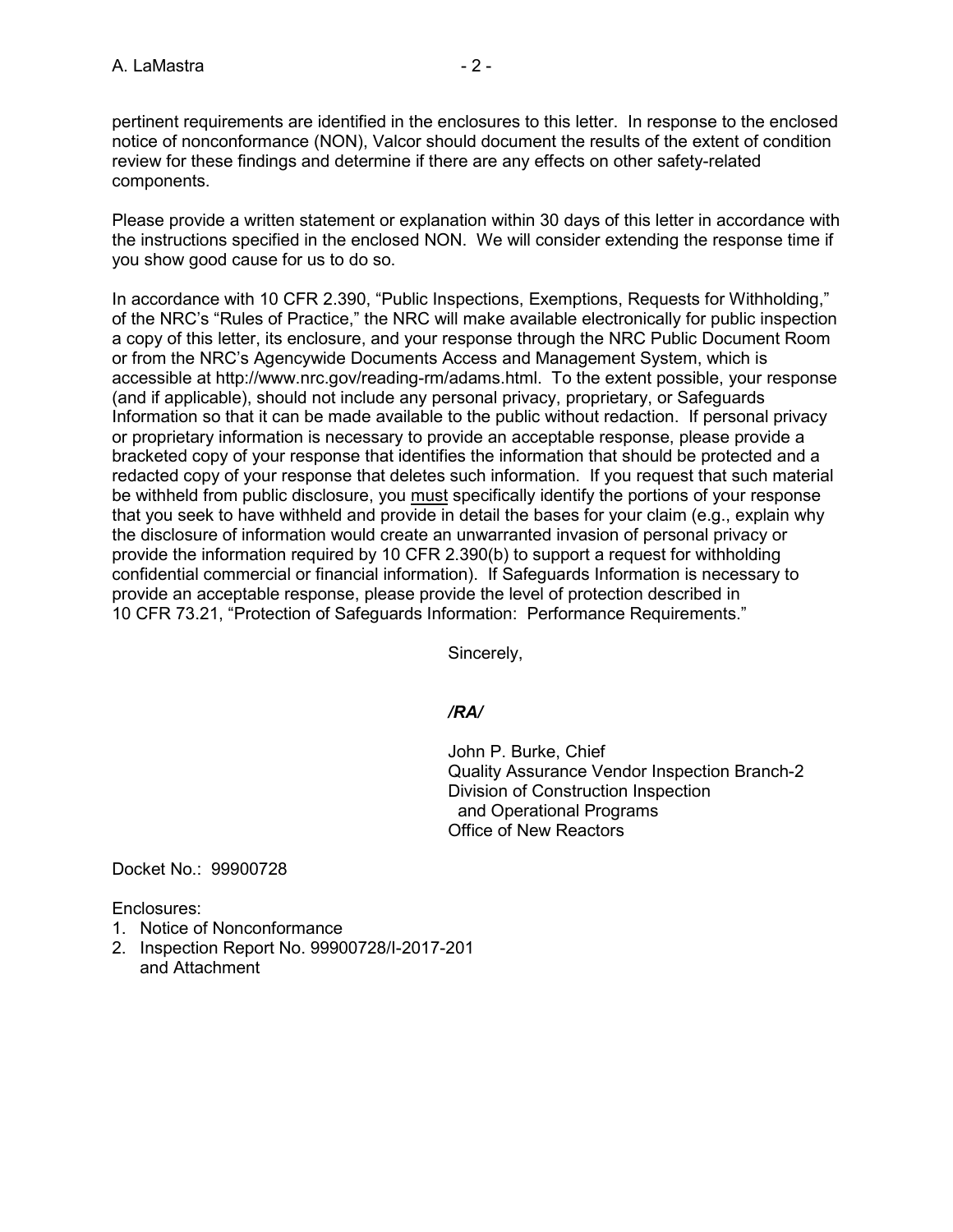pertinent requirements are identified in the enclosures to this letter. In response to the enclosed notice of nonconformance (NON), Valcor should document the results of the extent of condition review for these findings and determine if there are any effects on other safety-related components.

Please provide a written statement or explanation within 30 days of this letter in accordance with the instructions specified in the enclosed NON. We will consider extending the response time if you show good cause for us to do so.

In accordance with 10 CFR 2.390, "Public Inspections, Exemptions, Requests for Withholding," of the NRC's "Rules of Practice," the NRC will make available electronically for public inspection a copy of this letter, its enclosure, and your response through the NRC Public Document Room or from the NRC's Agencywide Documents Access and Management System, which is accessible at http://www.nrc.gov/reading-rm/adams.html. To the extent possible, your response (and if applicable), should not include any personal privacy, proprietary, or Safeguards Information so that it can be made available to the public without redaction. If personal privacy or proprietary information is necessary to provide an acceptable response, please provide a bracketed copy of your response that identifies the information that should be protected and a redacted copy of your response that deletes such information. If you request that such material be withheld from public disclosure, you must specifically identify the portions of your response that you seek to have withheld and provide in detail the bases for your claim (e.g., explain why the disclosure of information would create an unwarranted invasion of personal privacy or provide the information required by 10 CFR 2.390(b) to support a request for withholding confidential commercial or financial information). If Safeguards Information is necessary to provide an acceptable response, please provide the level of protection described in 10 CFR 73.21, "Protection of Safeguards Information: Performance Requirements."

Sincerely,

# */RA/*

John P. Burke, Chief Quality Assurance Vendor Inspection Branch-2 Division of Construction Inspection and Operational Programs Office of New Reactors

Docket No.: 99900728

Enclosures:

- 1. Notice of Nonconformance
- 2. Inspection Report No. 99900728/I-2017-201 and Attachment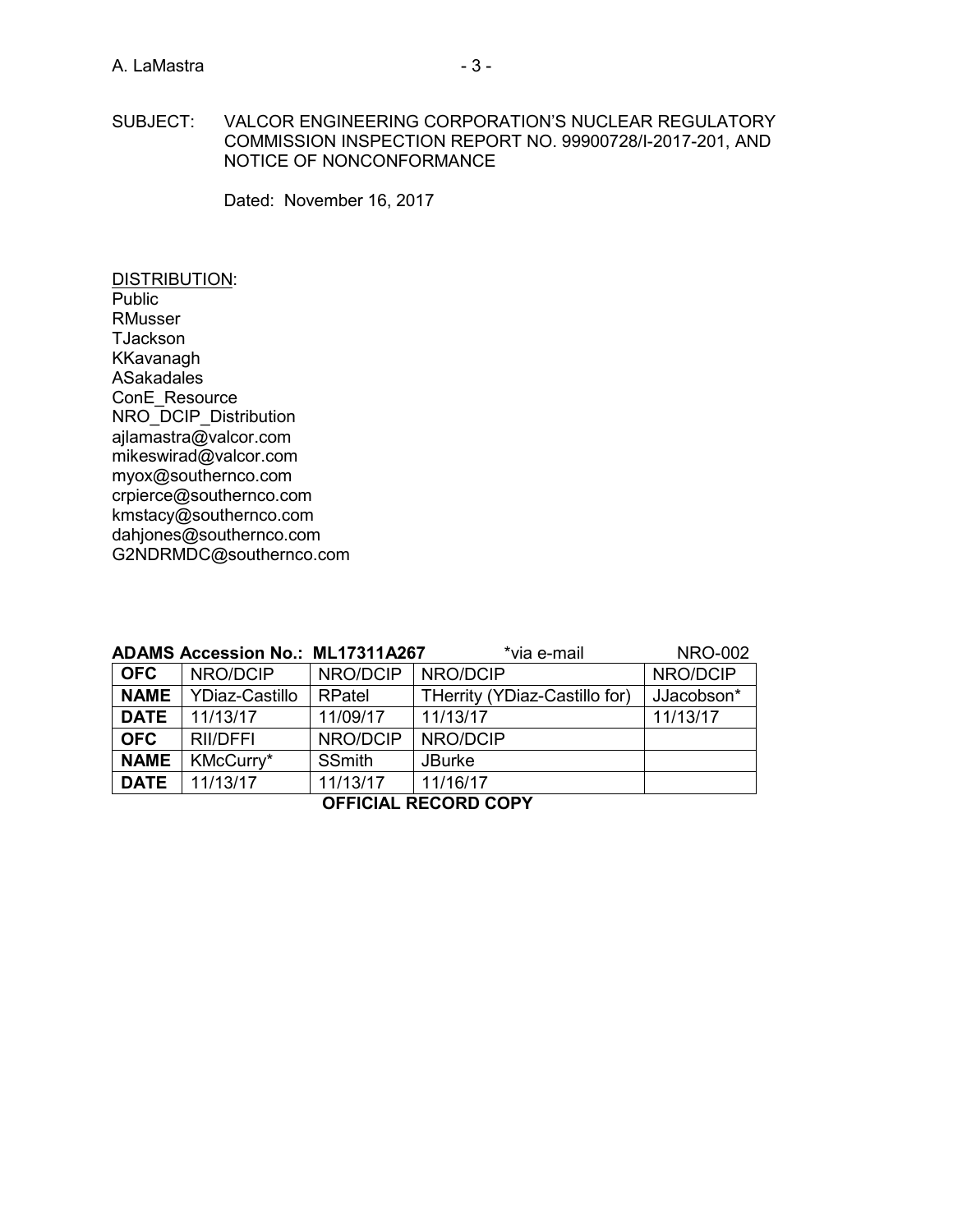#### SUBJECT: VALCOR ENGINEERING CORPORATION'S NUCLEAR REGULATORY COMMISSION INSPECTION REPORT NO. 99900728/I-2017-201, AND NOTICE OF NONCONFORMANCE

Dated: November 16, 2017

DISTRIBUTION: **Public** RMusser TJackson KKavanagh ASakadales ConE\_Resource NRO\_DCIP\_Distribution [ajlamastra@valcor.com](mailto:ajlamastra@valcor.com) [mikeswirad@valcor.com](mailto:mikeswirad@valcor.com) myox@southernco.com crpierce@southernco.com kmstacy@southernco.com dahjones@southernco.com G2NDRMDC@southernco.com

|                             | <b>ADAMS Accession No.: ML17311A267</b> |               | *via e-mail                   | <b>NRO-002</b> |
|-----------------------------|-----------------------------------------|---------------|-------------------------------|----------------|
| <b>OFC</b>                  | NRO/DCIP                                | NRO/DCIP      | NRO/DCIP                      | NRO/DCIP       |
| <b>NAME</b>                 | YDiaz-Castillo                          | RPatel        | THerrity (YDiaz-Castillo for) | JJacobson*     |
| <b>DATE</b>                 | 11/13/17                                | 11/09/17      | 11/13/17                      | 11/13/17       |
| <b>OFC</b>                  | <b>RII/DFFI</b>                         | NRO/DCIP      | NRO/DCIP                      |                |
| <b>NAME</b>                 | KMcCurry*                               | <b>SSmith</b> | <b>JBurke</b>                 |                |
| <b>DATE</b>                 | 11/13/17                                | 11/13/17      | 11/16/17                      |                |
| <b>OFFICIAL RECORD COPY</b> |                                         |               |                               |                |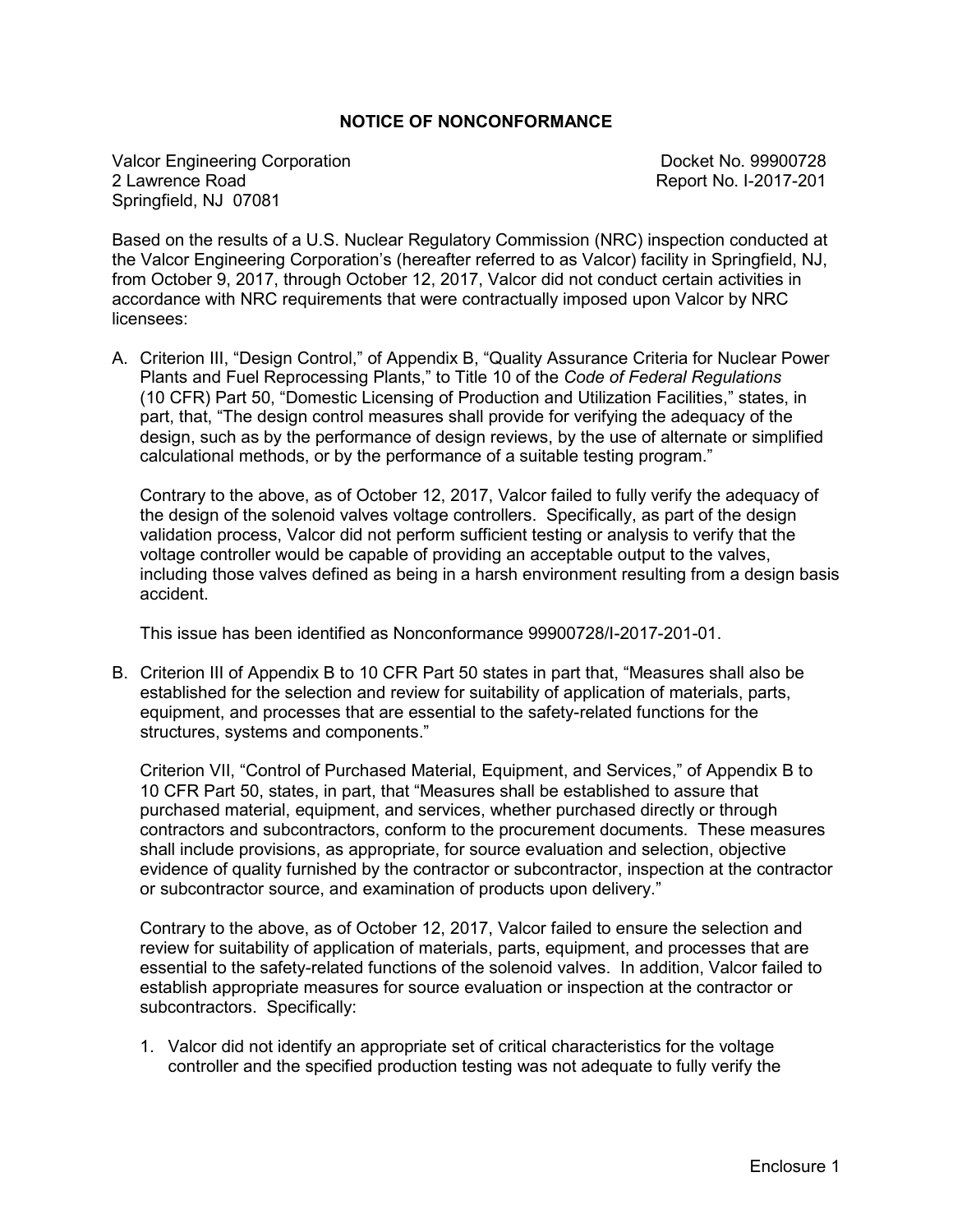### **NOTICE OF NONCONFORMANCE**

Valcor Engineering Corporation<br>
2 Lawrence Road<br>
2 Lawrence Road Springfield, NJ 07081

Report No. I-2017-201

Based on the results of a U.S. Nuclear Regulatory Commission (NRC) inspection conducted at the Valcor Engineering Corporation's (hereafter referred to as Valcor) facility in Springfield, NJ, from October 9, 2017, through October 12, 2017, Valcor did not conduct certain activities in accordance with NRC requirements that were contractually imposed upon Valcor by NRC licensees:

A. Criterion III, "Design Control," of Appendix B, "Quality Assurance Criteria for Nuclear Power Plants and Fuel Reprocessing Plants," to Title 10 of the *Code of Federal Regulations* (10 CFR) Part 50, "Domestic Licensing of Production and Utilization Facilities," states, in part, that, "The design control measures shall provide for verifying the adequacy of the design, such as by the performance of design reviews, by the use of alternate or simplified calculational methods, or by the performance of a suitable testing program."

Contrary to the above, as of October 12, 2017, Valcor failed to fully verify the adequacy of the design of the solenoid valves voltage controllers. Specifically, as part of the design validation process, Valcor did not perform sufficient testing or analysis to verify that the voltage controller would be capable of providing an acceptable output to the valves, including those valves defined as being in a harsh environment resulting from a design basis accident.

This issue has been identified as Nonconformance 99900728/I-2017-201-01.

B. Criterion III of Appendix B to 10 CFR Part 50 states in part that, "Measures shall also be established for the selection and review for suitability of application of materials, parts, equipment, and processes that are essential to the safety-related functions for the structures, systems and components."

Criterion VII, "Control of Purchased Material, Equipment, and Services," of Appendix B to 10 CFR Part 50, states, in part, that "Measures shall be established to assure that purchased material, equipment, and services, whether purchased directly or through contractors and subcontractors, conform to the procurement documents. These measures shall include provisions, as appropriate, for source evaluation and selection, objective evidence of quality furnished by the contractor or subcontractor, inspection at the contractor or subcontractor source, and examination of products upon delivery."

Contrary to the above, as of October 12, 2017, Valcor failed to ensure the selection and review for suitability of application of materials, parts, equipment, and processes that are essential to the safety-related functions of the solenoid valves. In addition, Valcor failed to establish appropriate measures for source evaluation or inspection at the contractor or subcontractors. Specifically:

1. Valcor did not identify an appropriate set of critical characteristics for the voltage controller and the specified production testing was not adequate to fully verify the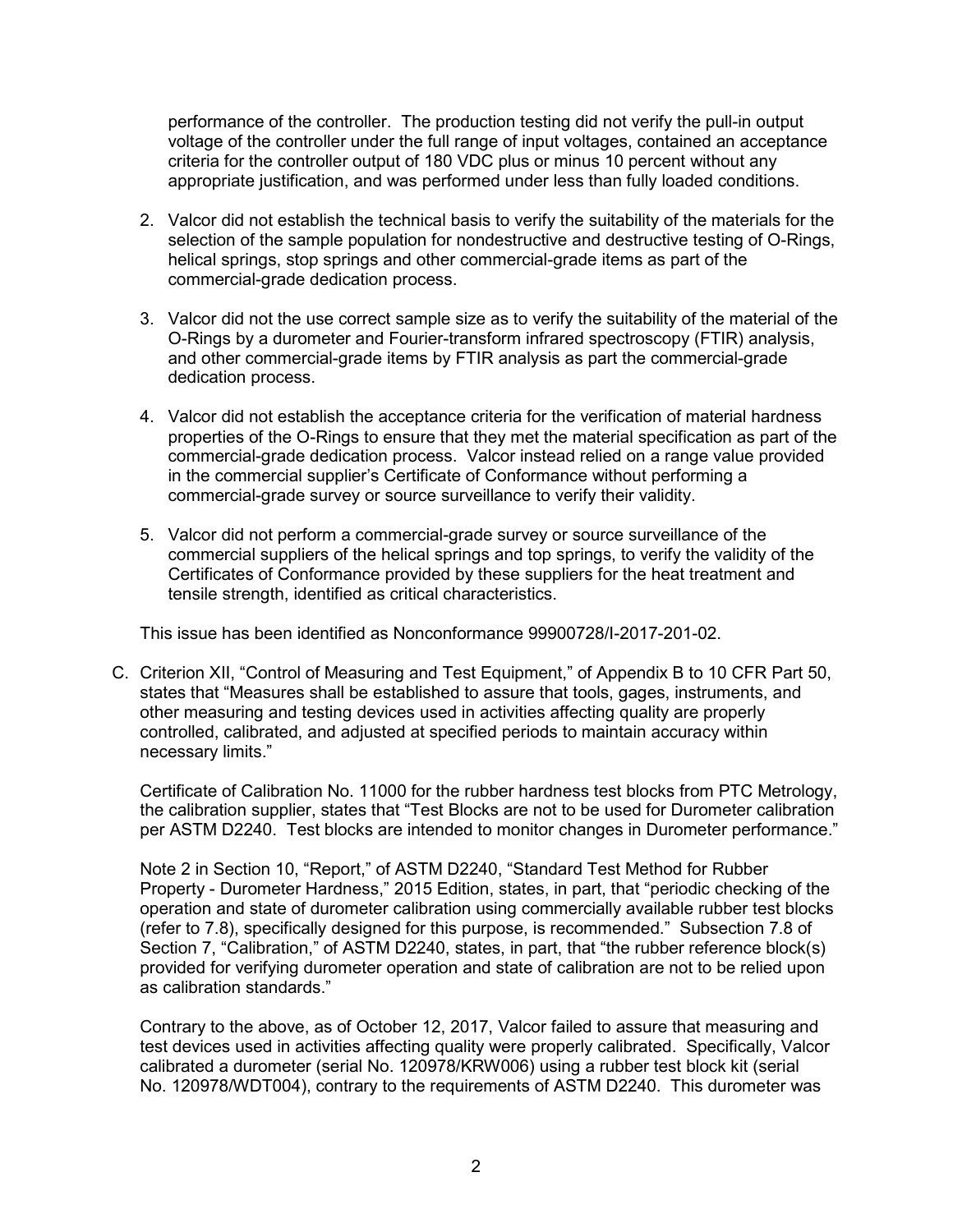performance of the controller. The production testing did not verify the pull-in output voltage of the controller under the full range of input voltages, contained an acceptance criteria for the controller output of 180 VDC plus or minus 10 percent without any appropriate justification, and was performed under less than fully loaded conditions.

- 2. Valcor did not establish the technical basis to verify the suitability of the materials for the selection of the sample population for nondestructive and destructive testing of O-Rings, helical springs, stop springs and other commercial-grade items as part of the commercial-grade dedication process.
- 3. Valcor did not the use correct sample size as to verify the suitability of the material of the O-Rings by a durometer and Fourier-transform infrared spectroscopy (FTIR) analysis, and other commercial-grade items by FTIR analysis as part the commercial-grade dedication process.
- 4. Valcor did not establish the acceptance criteria for the verification of material hardness properties of the O-Rings to ensure that they met the material specification as part of the commercial-grade dedication process. Valcor instead relied on a range value provided in the commercial supplier's Certificate of Conformance without performing a commercial-grade survey or source surveillance to verify their validity.
- 5. Valcor did not perform a commercial-grade survey or source surveillance of the commercial suppliers of the helical springs and top springs, to verify the validity of the Certificates of Conformance provided by these suppliers for the heat treatment and tensile strength, identified as critical characteristics.

This issue has been identified as Nonconformance 99900728/I-2017-201-02.

C. Criterion XII, "Control of Measuring and Test Equipment," of Appendix B to 10 CFR Part 50, states that "Measures shall be established to assure that tools, gages, instruments, and other measuring and testing devices used in activities affecting quality are properly controlled, calibrated, and adjusted at specified periods to maintain accuracy within necessary limits."

Certificate of Calibration No. 11000 for the rubber hardness test blocks from PTC Metrology, the calibration supplier, states that "Test Blocks are not to be used for Durometer calibration per ASTM D2240. Test blocks are intended to monitor changes in Durometer performance."

Note 2 in Section 10, "Report," of ASTM D2240, "Standard Test Method for Rubber Property - Durometer Hardness," 2015 Edition, states, in part, that "periodic checking of the operation and state of durometer calibration using commercially available rubber test blocks (refer to 7.8), specifically designed for this purpose, is recommended." Subsection 7.8 of Section 7, "Calibration," of ASTM D2240, states, in part, that "the rubber reference block(s) provided for verifying durometer operation and state of calibration are not to be relied upon as calibration standards."

Contrary to the above, as of October 12, 2017, Valcor failed to assure that measuring and test devices used in activities affecting quality were properly calibrated. Specifically, Valcor calibrated a durometer (serial No. 120978/KRW006) using a rubber test block kit (serial No. 120978/WDT004), contrary to the requirements of ASTM D2240. This durometer was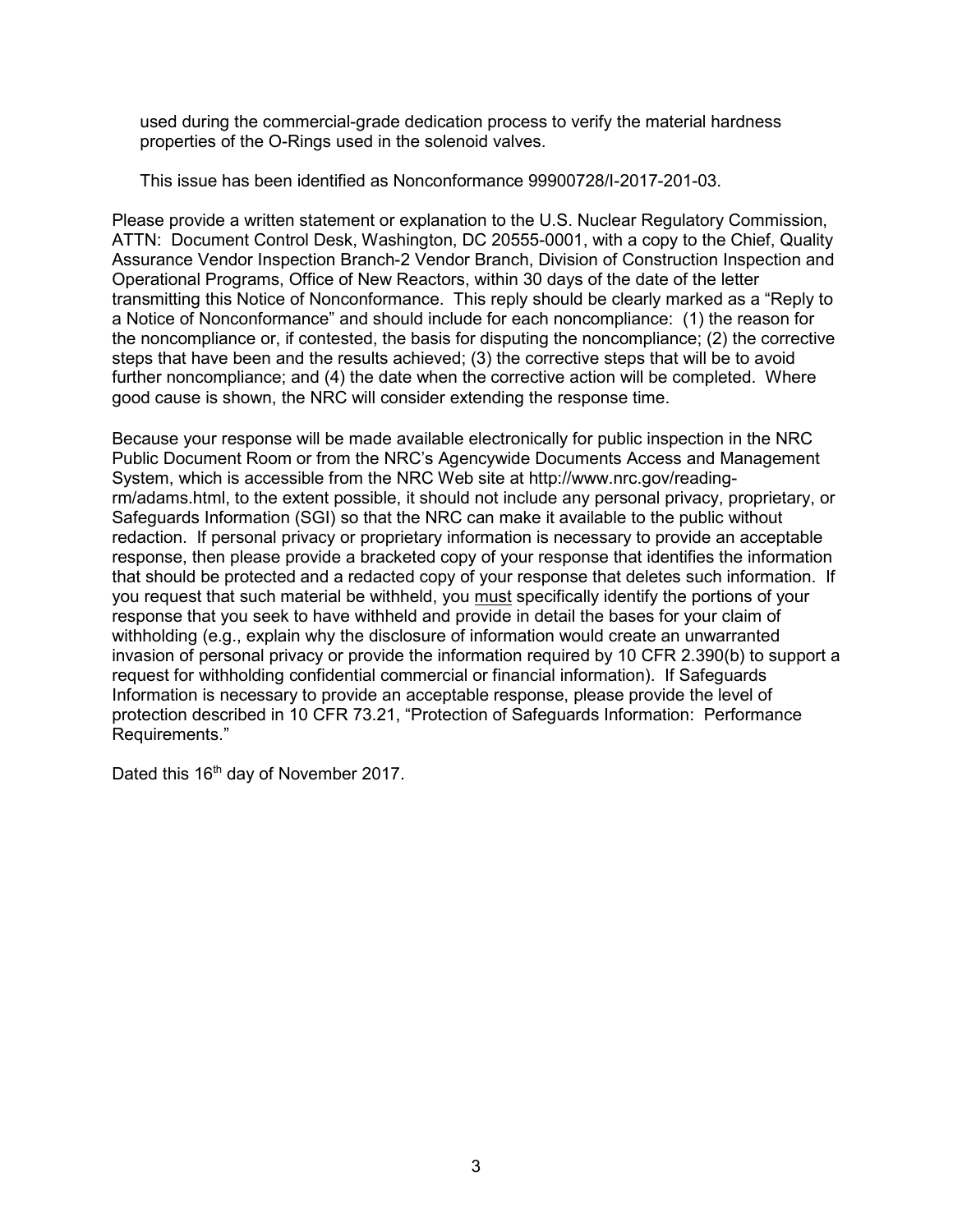used during the commercial-grade dedication process to verify the material hardness properties of the O-Rings used in the solenoid valves.

This issue has been identified as Nonconformance 99900728/I-2017-201-03.

Please provide a written statement or explanation to the U.S. Nuclear Regulatory Commission, ATTN: Document Control Desk, Washington, DC 20555-0001, with a copy to the Chief, Quality Assurance Vendor Inspection Branch-2 Vendor Branch, Division of Construction Inspection and Operational Programs, Office of New Reactors, within 30 days of the date of the letter transmitting this Notice of Nonconformance. This reply should be clearly marked as a "Reply to a Notice of Nonconformance" and should include for each noncompliance: (1) the reason for the noncompliance or, if contested, the basis for disputing the noncompliance; (2) the corrective steps that have been and the results achieved; (3) the corrective steps that will be to avoid further noncompliance; and (4) the date when the corrective action will be completed. Where good cause is shown, the NRC will consider extending the response time.

Because your response will be made available electronically for public inspection in the NRC Public Document Room or from the NRC's Agencywide Documents Access and Management System, which is accessible from the NRC Web site at http://www.nrc.gov/readingrm/adams.html, to the extent possible, it should not include any personal privacy, proprietary, or Safeguards Information (SGI) so that the NRC can make it available to the public without redaction. If personal privacy or proprietary information is necessary to provide an acceptable response, then please provide a bracketed copy of your response that identifies the information that should be protected and a redacted copy of your response that deletes such information. If you request that such material be withheld, you must specifically identify the portions of your response that you seek to have withheld and provide in detail the bases for your claim of withholding (e.g., explain why the disclosure of information would create an unwarranted invasion of personal privacy or provide the information required by 10 CFR 2.390(b) to support a request for withholding confidential commercial or financial information). If Safeguards Information is necessary to provide an acceptable response, please provide the level of protection described in 10 CFR 73.21, "Protection of Safeguards Information: Performance Requirements."

Dated this 16<sup>th</sup> day of November 2017.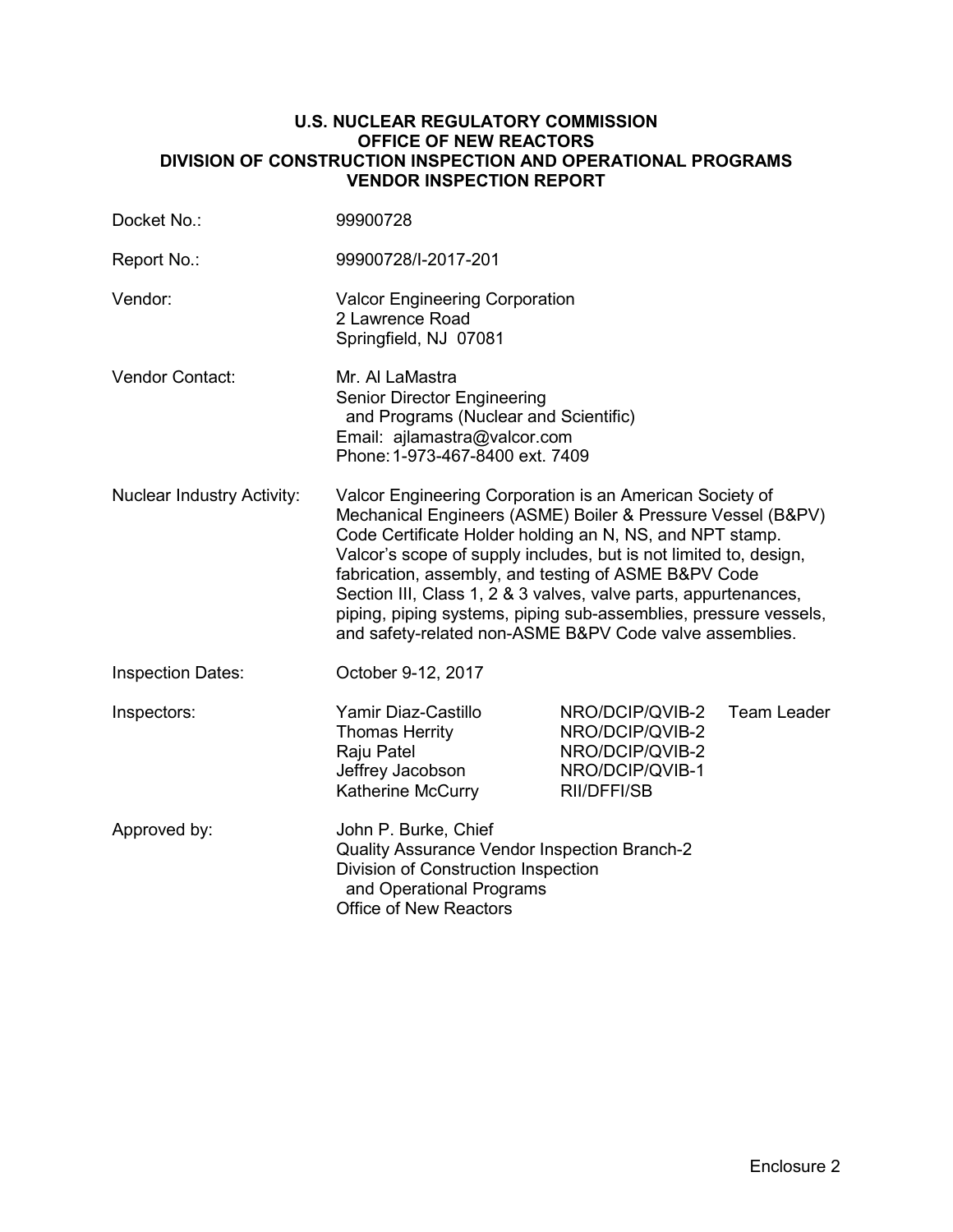### **U.S. NUCLEAR REGULATORY COMMISSION OFFICE OF NEW REACTORS DIVISION OF CONSTRUCTION INSPECTION AND OPERATIONAL PROGRAMS VENDOR INSPECTION REPORT**

| Docket No.:                       | 99900728                                                                                                                                                                                                                                                                                                                                                                                                                                                                                                           |                                                                                         |                    |
|-----------------------------------|--------------------------------------------------------------------------------------------------------------------------------------------------------------------------------------------------------------------------------------------------------------------------------------------------------------------------------------------------------------------------------------------------------------------------------------------------------------------------------------------------------------------|-----------------------------------------------------------------------------------------|--------------------|
| Report No.:                       | 99900728/I-2017-201                                                                                                                                                                                                                                                                                                                                                                                                                                                                                                |                                                                                         |                    |
| Vendor:                           | <b>Valcor Engineering Corporation</b><br>2 Lawrence Road<br>Springfield, NJ 07081                                                                                                                                                                                                                                                                                                                                                                                                                                  |                                                                                         |                    |
| Vendor Contact:                   | Mr. Al LaMastra<br>Senior Director Engineering<br>and Programs (Nuclear and Scientific)<br>Email: ajlamastra@valcor.com<br>Phone: 1-973-467-8400 ext. 7409                                                                                                                                                                                                                                                                                                                                                         |                                                                                         |                    |
| <b>Nuclear Industry Activity:</b> | Valcor Engineering Corporation is an American Society of<br>Mechanical Engineers (ASME) Boiler & Pressure Vessel (B&PV)<br>Code Certificate Holder holding an N, NS, and NPT stamp.<br>Valcor's scope of supply includes, but is not limited to, design,<br>fabrication, assembly, and testing of ASME B&PV Code<br>Section III, Class 1, 2 & 3 valves, valve parts, appurtenances,<br>piping, piping systems, piping sub-assemblies, pressure vessels,<br>and safety-related non-ASME B&PV Code valve assemblies. |                                                                                         |                    |
| <b>Inspection Dates:</b>          | October 9-12, 2017                                                                                                                                                                                                                                                                                                                                                                                                                                                                                                 |                                                                                         |                    |
| Inspectors:                       | Yamir Diaz-Castillo<br>Thomas Herrity<br>Raju Patel<br>Jeffrey Jacobson<br>Katherine McCurry                                                                                                                                                                                                                                                                                                                                                                                                                       | NRO/DCIP/QVIB-2<br>NRO/DCIP/QVIB-2<br>NRO/DCIP/QVIB-2<br>NRO/DCIP/QVIB-1<br>RII/DFFI/SB | <b>Team Leader</b> |
| Approved by:                      | John P. Burke, Chief<br>Quality Assurance Vendor Inspection Branch-2<br>Division of Construction Inspection<br>and Operational Programs<br>Office of New Reactors                                                                                                                                                                                                                                                                                                                                                  |                                                                                         |                    |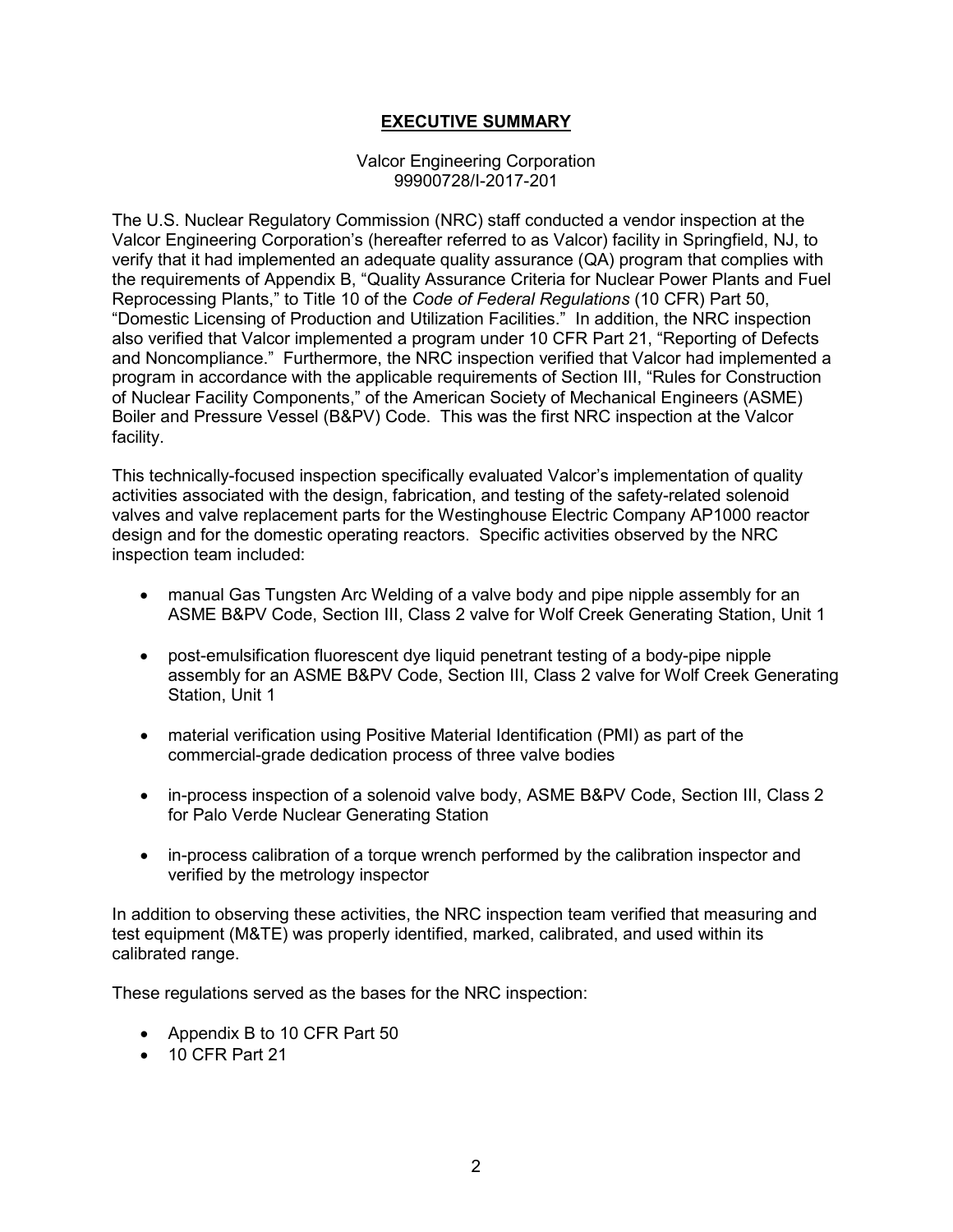# **EXECUTIVE SUMMARY**

#### Valcor Engineering Corporation 99900728/I-2017-201

The U.S. Nuclear Regulatory Commission (NRC) staff conducted a vendor inspection at the Valcor Engineering Corporation's (hereafter referred to as Valcor) facility in Springfield, NJ, to verify that it had implemented an adequate quality assurance (QA) program that complies with the requirements of Appendix B, "Quality Assurance Criteria for Nuclear Power Plants and Fuel Reprocessing Plants," to Title 10 of the *Code of Federal Regulations* (10 CFR) Part 50, "Domestic Licensing of Production and Utilization Facilities." In addition, the NRC inspection also verified that Valcor implemented a program under 10 CFR Part 21, "Reporting of Defects and Noncompliance." Furthermore, the NRC inspection verified that Valcor had implemented a program in accordance with the applicable requirements of Section III, "Rules for Construction of Nuclear Facility Components," of the American Society of Mechanical Engineers (ASME) Boiler and Pressure Vessel (B&PV) Code. This was the first NRC inspection at the Valcor facility.

This technically-focused inspection specifically evaluated Valcor's implementation of quality activities associated with the design, fabrication, and testing of the safety-related solenoid valves and valve replacement parts for the Westinghouse Electric Company AP1000 reactor design and for the domestic operating reactors. Specific activities observed by the NRC inspection team included:

- manual Gas Tungsten Arc Welding of a valve body and pipe nipple assembly for an ASME B&PV Code, Section III, Class 2 valve for Wolf Creek Generating Station, Unit 1
- post-emulsification fluorescent dye liquid penetrant testing of a body-pipe nipple assembly for an ASME B&PV Code, Section III, Class 2 valve for Wolf Creek Generating Station, Unit 1
- material verification using Positive Material Identification (PMI) as part of the commercial-grade dedication process of three valve bodies
- in-process inspection of a solenoid valve body, ASME B&PV Code, Section III, Class 2 for Palo Verde Nuclear Generating Station
- in-process calibration of a torque wrench performed by the calibration inspector and verified by the metrology inspector

In addition to observing these activities, the NRC inspection team verified that measuring and test equipment (M&TE) was properly identified, marked, calibrated, and used within its calibrated range.

These regulations served as the bases for the NRC inspection:

- Appendix B to 10 CFR Part 50
- 10 CFR Part 21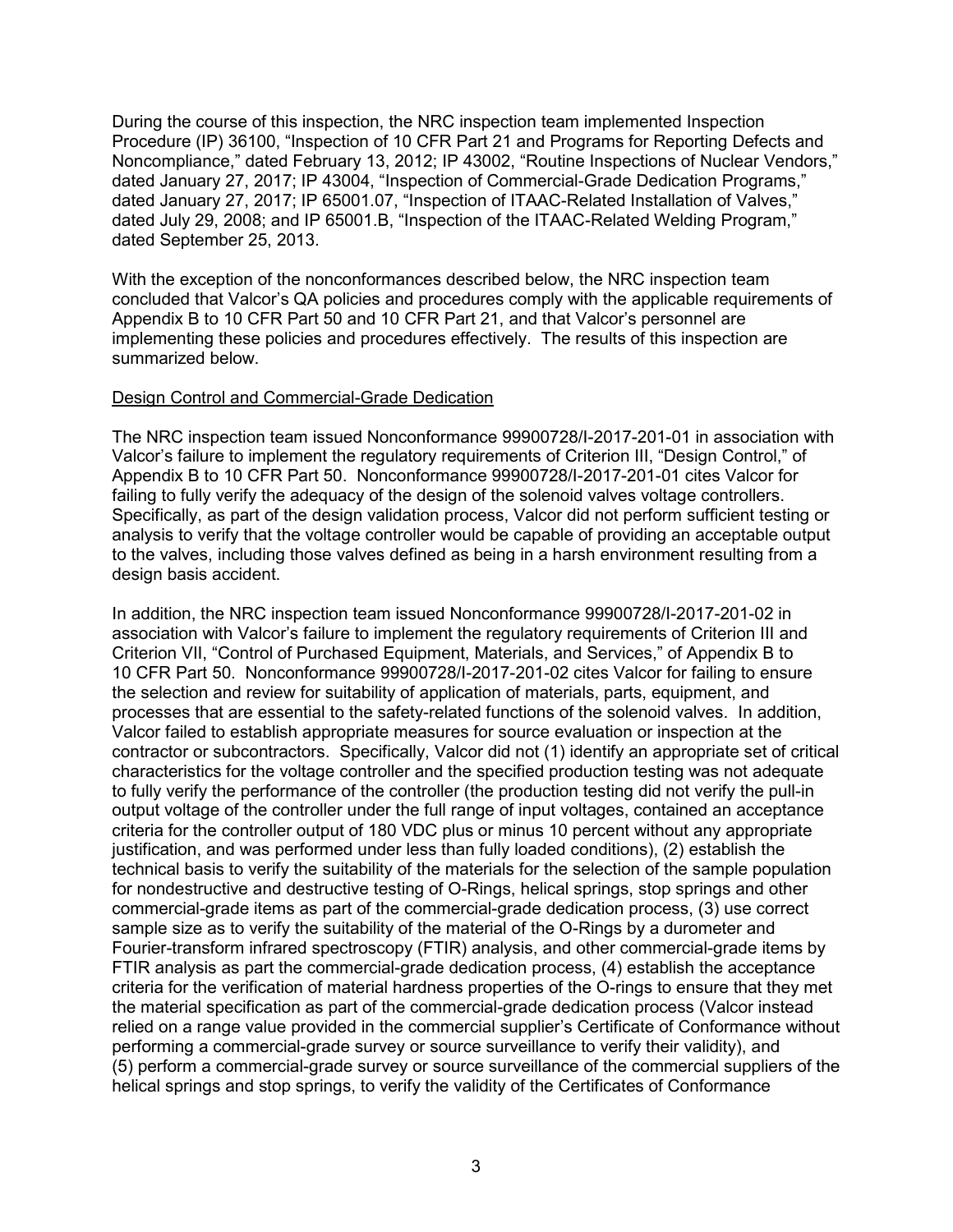During the course of this inspection, the NRC inspection team implemented Inspection Procedure (IP) 36100, "Inspection of 10 CFR Part 21 and Programs for Reporting Defects and Noncompliance," dated February 13, 2012; IP 43002, "Routine Inspections of Nuclear Vendors," dated January 27, 2017; IP 43004, "Inspection of Commercial-Grade Dedication Programs," dated January 27, 2017; IP 65001.07, "Inspection of ITAAC-Related Installation of Valves," dated July 29, 2008; and IP 65001.B, "Inspection of the ITAAC-Related Welding Program," dated September 25, 2013.

With the exception of the nonconformances described below, the NRC inspection team concluded that Valcor's QA policies and procedures comply with the applicable requirements of Appendix B to 10 CFR Part 50 and 10 CFR Part 21, and that Valcor's personnel are implementing these policies and procedures effectively. The results of this inspection are summarized below.

#### Design Control and Commercial-Grade Dedication

The NRC inspection team issued Nonconformance 99900728/I-2017-201-01 in association with Valcor's failure to implement the regulatory requirements of Criterion III, "Design Control," of Appendix B to 10 CFR Part 50. Nonconformance 99900728/I-2017-201-01 cites Valcor for failing to fully verify the adequacy of the design of the solenoid valves voltage controllers. Specifically, as part of the design validation process, Valcor did not perform sufficient testing or analysis to verify that the voltage controller would be capable of providing an acceptable output to the valves, including those valves defined as being in a harsh environment resulting from a design basis accident.

In addition, the NRC inspection team issued Nonconformance 99900728/I-2017-201-02 in association with Valcor's failure to implement the regulatory requirements of Criterion III and Criterion VII, "Control of Purchased Equipment, Materials, and Services," of Appendix B to 10 CFR Part 50. Nonconformance 99900728/I-2017-201-02 cites Valcor for failing to ensure the selection and review for suitability of application of materials, parts, equipment, and processes that are essential to the safety-related functions of the solenoid valves. In addition, Valcor failed to establish appropriate measures for source evaluation or inspection at the contractor or subcontractors. Specifically, Valcor did not (1) identify an appropriate set of critical characteristics for the voltage controller and the specified production testing was not adequate to fully verify the performance of the controller (the production testing did not verify the pull-in output voltage of the controller under the full range of input voltages, contained an acceptance criteria for the controller output of 180 VDC plus or minus 10 percent without any appropriate justification, and was performed under less than fully loaded conditions), (2) establish the technical basis to verify the suitability of the materials for the selection of the sample population for nondestructive and destructive testing of O-Rings, helical springs, stop springs and other commercial-grade items as part of the commercial-grade dedication process, (3) use correct sample size as to verify the suitability of the material of the O-Rings by a durometer and Fourier-transform infrared spectroscopy (FTIR) analysis, and other commercial-grade items by FTIR analysis as part the commercial-grade dedication process, (4) establish the acceptance criteria for the verification of material hardness properties of the O-rings to ensure that they met the material specification as part of the commercial-grade dedication process (Valcor instead relied on a range value provided in the commercial supplier's Certificate of Conformance without performing a commercial-grade survey or source surveillance to verify their validity), and (5) perform a commercial-grade survey or source surveillance of the commercial suppliers of the helical springs and stop springs, to verify the validity of the Certificates of Conformance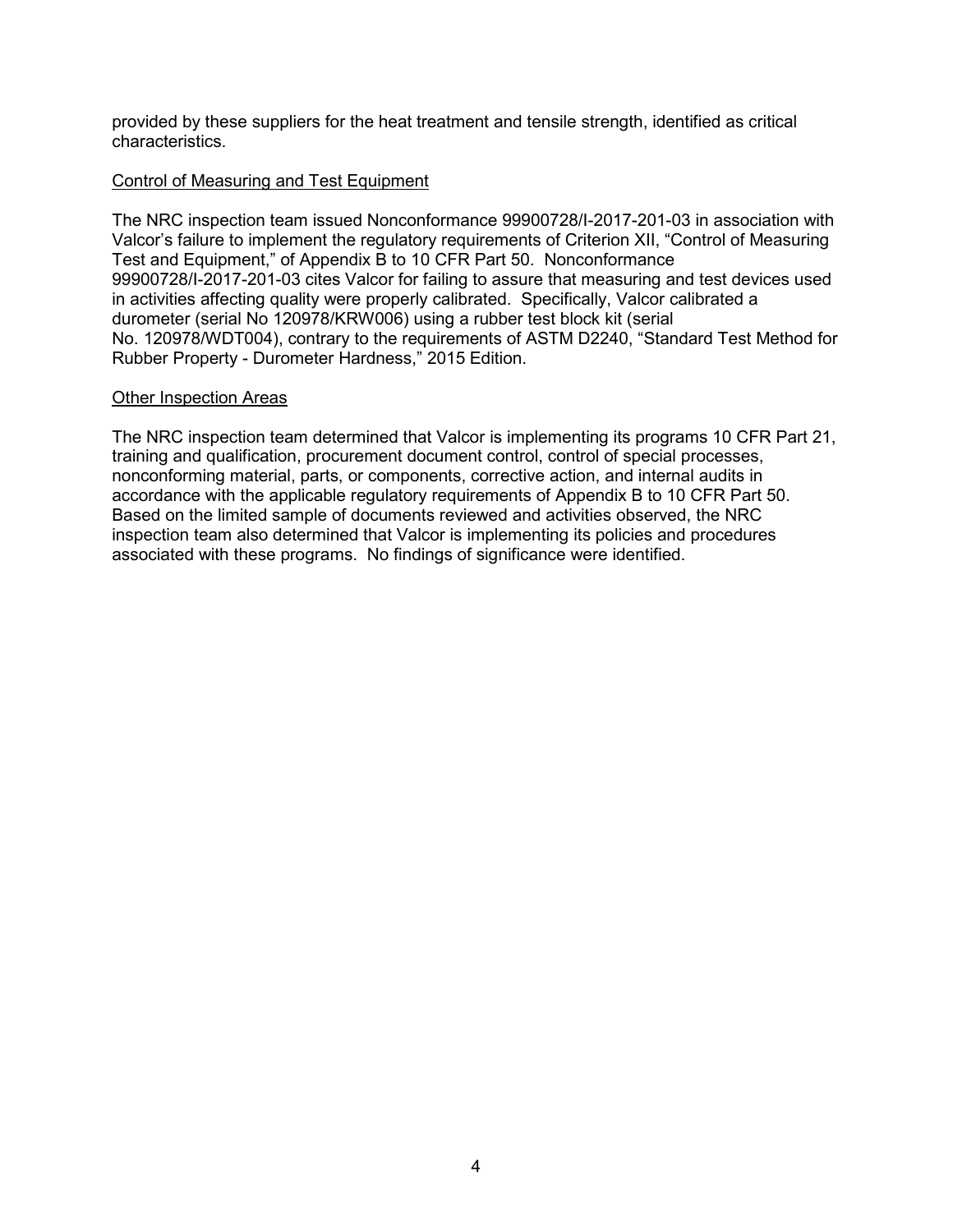provided by these suppliers for the heat treatment and tensile strength, identified as critical characteristics.

### Control of Measuring and Test Equipment

The NRC inspection team issued Nonconformance 99900728/I-2017-201-03 in association with Valcor's failure to implement the regulatory requirements of Criterion XII, "Control of Measuring Test and Equipment," of Appendix B to 10 CFR Part 50. Nonconformance 99900728/I-2017-201-03 cites Valcor for failing to assure that measuring and test devices used in activities affecting quality were properly calibrated. Specifically, Valcor calibrated a durometer (serial No 120978/KRW006) using a rubber test block kit (serial No. 120978/WDT004), contrary to the requirements of ASTM D2240, "Standard Test Method for Rubber Property - Durometer Hardness," 2015 Edition.

#### Other Inspection Areas

The NRC inspection team determined that Valcor is implementing its programs 10 CFR Part 21, training and qualification, procurement document control, control of special processes, nonconforming material, parts, or components, corrective action, and internal audits in accordance with the applicable regulatory requirements of Appendix B to 10 CFR Part 50. Based on the limited sample of documents reviewed and activities observed, the NRC inspection team also determined that Valcor is implementing its policies and procedures associated with these programs. No findings of significance were identified.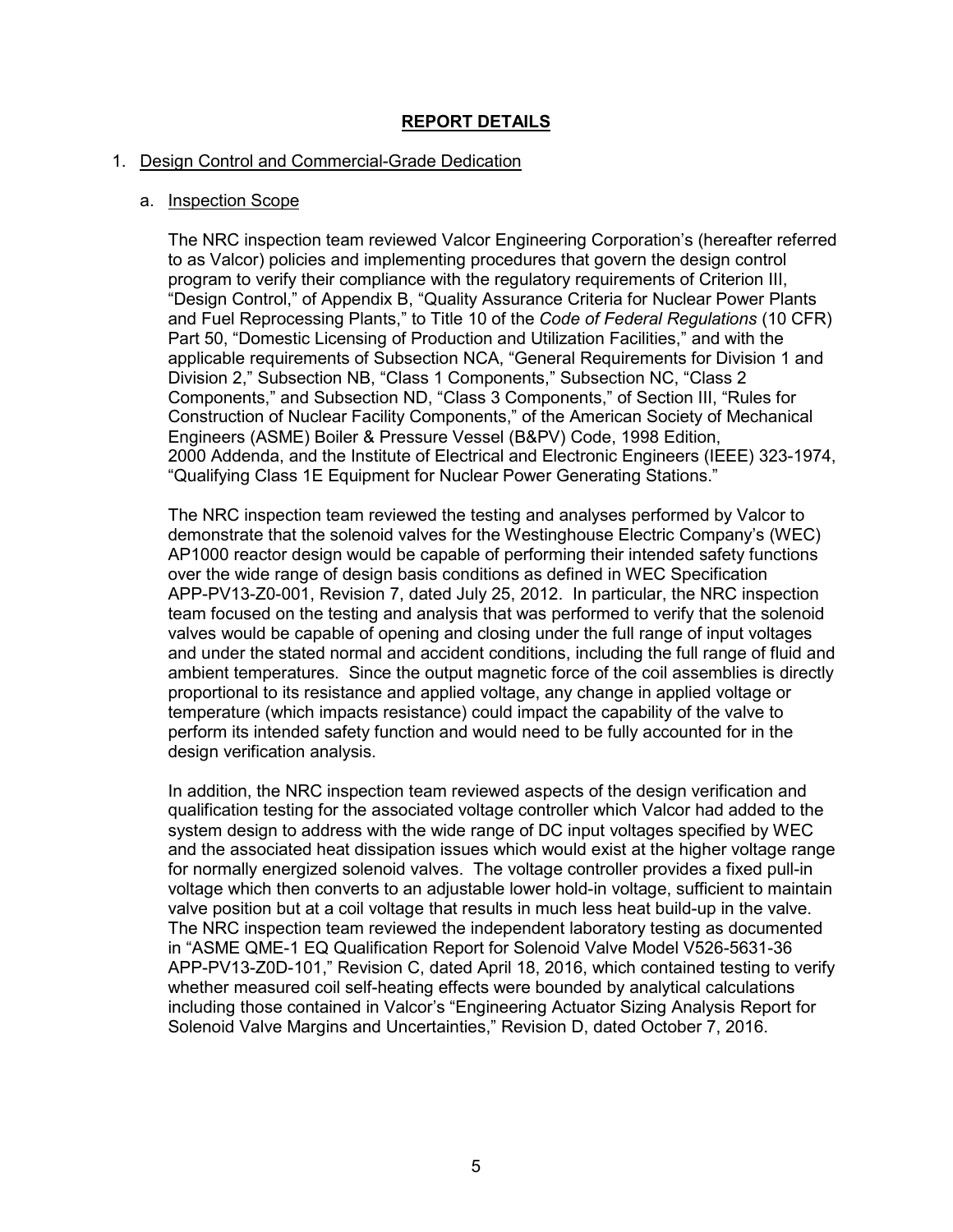# **REPORT DETAILS**

#### 1. Design Control and Commercial-Grade Dedication

#### a. Inspection Scope

The NRC inspection team reviewed Valcor Engineering Corporation's (hereafter referred to as Valcor) policies and implementing procedures that govern the design control program to verify their compliance with the regulatory requirements of Criterion III, "Design Control," of Appendix B, "Quality Assurance Criteria for Nuclear Power Plants and Fuel Reprocessing Plants," to Title 10 of the *Code of Federal Regulations* (10 CFR) Part 50, "Domestic Licensing of Production and Utilization Facilities," and with the applicable requirements of Subsection NCA, "General Requirements for Division 1 and Division 2," Subsection NB, "Class 1 Components," Subsection NC, "Class 2 Components," and Subsection ND, "Class 3 Components," of Section III, "Rules for Construction of Nuclear Facility Components," of the American Society of Mechanical Engineers (ASME) Boiler & Pressure Vessel (B&PV) Code, 1998 Edition, 2000 Addenda, and the Institute of Electrical and Electronic Engineers (IEEE) 323-1974, "Qualifying Class 1E Equipment for Nuclear Power Generating Stations."

The NRC inspection team reviewed the testing and analyses performed by Valcor to demonstrate that the solenoid valves for the Westinghouse Electric Company's (WEC) AP1000 reactor design would be capable of performing their intended safety functions over the wide range of design basis conditions as defined in WEC Specification APP-PV13-Z0-001, Revision 7, dated July 25, 2012. In particular, the NRC inspection team focused on the testing and analysis that was performed to verify that the solenoid valves would be capable of opening and closing under the full range of input voltages and under the stated normal and accident conditions, including the full range of fluid and ambient temperatures. Since the output magnetic force of the coil assemblies is directly proportional to its resistance and applied voltage, any change in applied voltage or temperature (which impacts resistance) could impact the capability of the valve to perform its intended safety function and would need to be fully accounted for in the design verification analysis.

In addition, the NRC inspection team reviewed aspects of the design verification and qualification testing for the associated voltage controller which Valcor had added to the system design to address with the wide range of DC input voltages specified by WEC and the associated heat dissipation issues which would exist at the higher voltage range for normally energized solenoid valves. The voltage controller provides a fixed pull-in voltage which then converts to an adjustable lower hold-in voltage, sufficient to maintain valve position but at a coil voltage that results in much less heat build-up in the valve. The NRC inspection team reviewed the independent laboratory testing as documented in "ASME QME-1 EQ Qualification Report for Solenoid Valve Model V526-5631-36 APP-PV13-Z0D-101," Revision C, dated April 18, 2016, which contained testing to verify whether measured coil self-heating effects were bounded by analytical calculations including those contained in Valcor's "Engineering Actuator Sizing Analysis Report for Solenoid Valve Margins and Uncertainties," Revision D, dated October 7, 2016.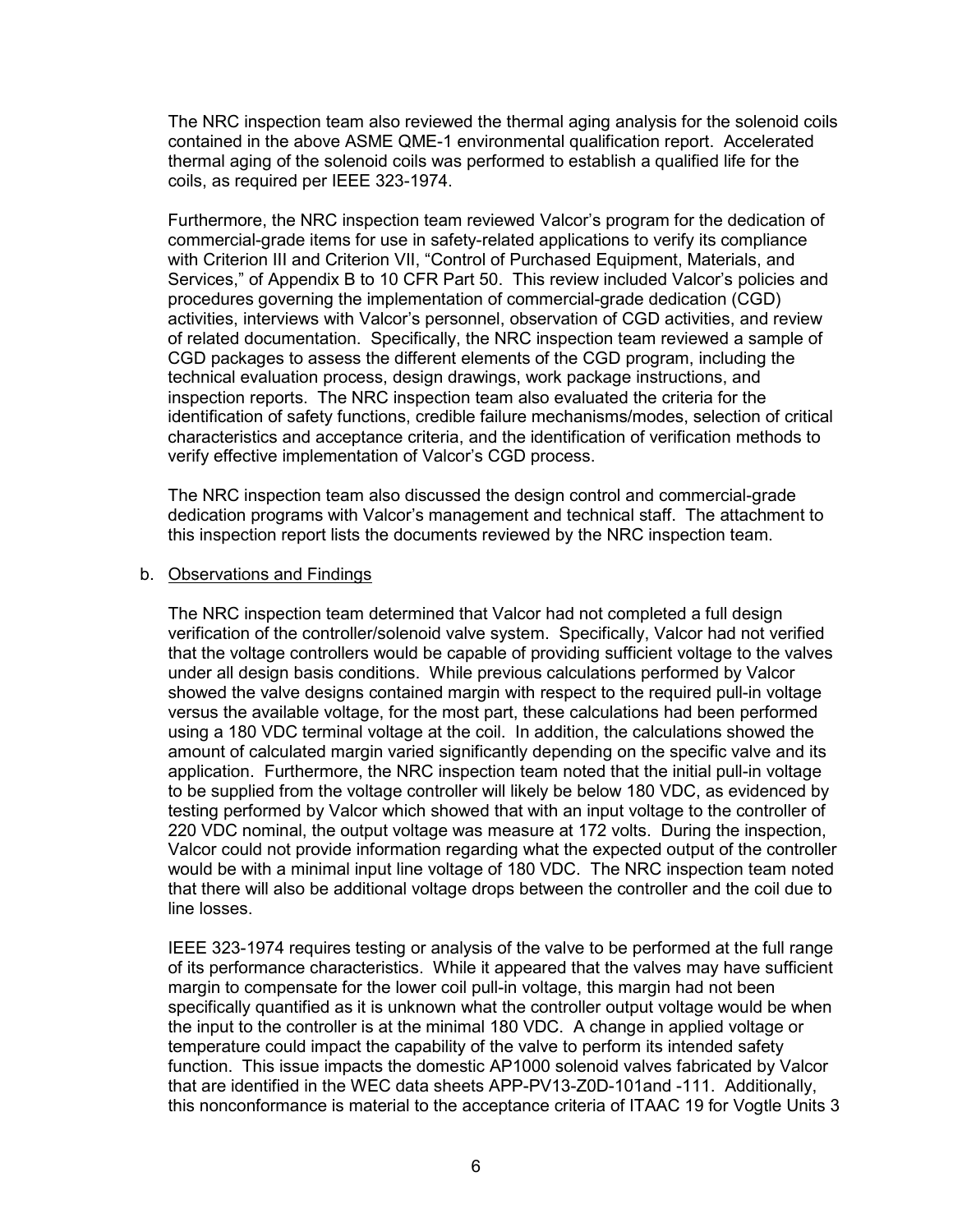The NRC inspection team also reviewed the thermal aging analysis for the solenoid coils contained in the above ASME QME-1 environmental qualification report. Accelerated thermal aging of the solenoid coils was performed to establish a qualified life for the coils, as required per IEEE 323-1974.

Furthermore, the NRC inspection team reviewed Valcor's program for the dedication of commercial-grade items for use in safety-related applications to verify its compliance with Criterion III and Criterion VII, "Control of Purchased Equipment, Materials, and Services," of Appendix B to 10 CFR Part 50. This review included Valcor's policies and procedures governing the implementation of commercial-grade dedication (CGD) activities, interviews with Valcor's personnel, observation of CGD activities, and review of related documentation. Specifically, the NRC inspection team reviewed a sample of CGD packages to assess the different elements of the CGD program, including the technical evaluation process, design drawings, work package instructions, and inspection reports. The NRC inspection team also evaluated the criteria for the identification of safety functions, credible failure mechanisms/modes, selection of critical characteristics and acceptance criteria, and the identification of verification methods to verify effective implementation of Valcor's CGD process.

The NRC inspection team also discussed the design control and commercial-grade dedication programs with Valcor's management and technical staff. The attachment to this inspection report lists the documents reviewed by the NRC inspection team.

#### b. Observations and Findings

The NRC inspection team determined that Valcor had not completed a full design verification of the controller/solenoid valve system. Specifically, Valcor had not verified that the voltage controllers would be capable of providing sufficient voltage to the valves under all design basis conditions. While previous calculations performed by Valcor showed the valve designs contained margin with respect to the required pull-in voltage versus the available voltage, for the most part, these calculations had been performed using a 180 VDC terminal voltage at the coil. In addition, the calculations showed the amount of calculated margin varied significantly depending on the specific valve and its application. Furthermore, the NRC inspection team noted that the initial pull-in voltage to be supplied from the voltage controller will likely be below 180 VDC, as evidenced by testing performed by Valcor which showed that with an input voltage to the controller of 220 VDC nominal, the output voltage was measure at 172 volts. During the inspection, Valcor could not provide information regarding what the expected output of the controller would be with a minimal input line voltage of 180 VDC. The NRC inspection team noted that there will also be additional voltage drops between the controller and the coil due to line losses.

IEEE 323-1974 requires testing or analysis of the valve to be performed at the full range of its performance characteristics. While it appeared that the valves may have sufficient margin to compensate for the lower coil pull-in voltage, this margin had not been specifically quantified as it is unknown what the controller output voltage would be when the input to the controller is at the minimal 180 VDC. A change in applied voltage or temperature could impact the capability of the valve to perform its intended safety function. This issue impacts the domestic AP1000 solenoid valves fabricated by Valcor that are identified in the WEC data sheets APP-PV13-Z0D-101and -111. Additionally, this nonconformance is material to the acceptance criteria of ITAAC 19 for Vogtle Units 3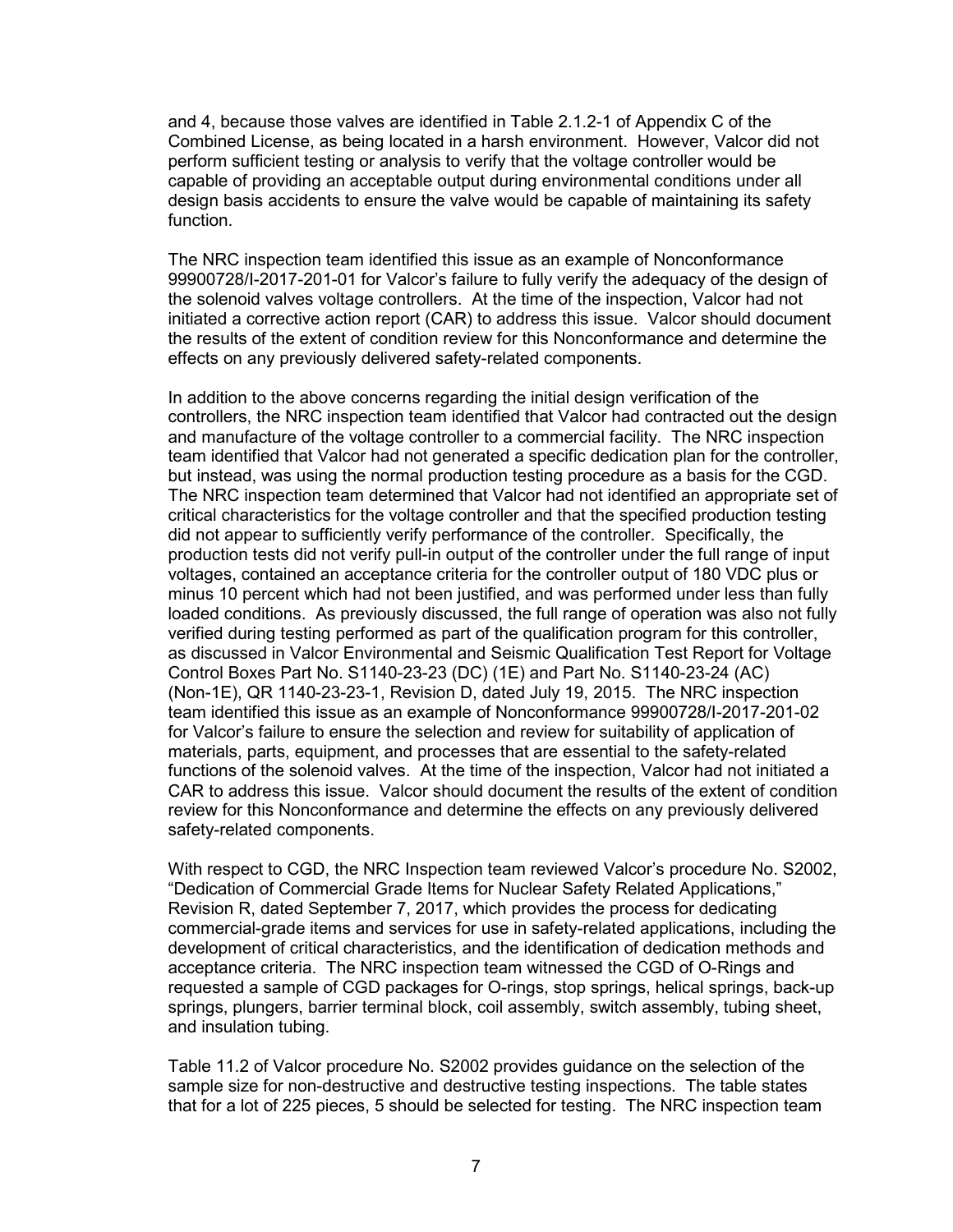and 4, because those valves are identified in Table 2.1.2-1 of Appendix C of the Combined License, as being located in a harsh environment. However, Valcor did not perform sufficient testing or analysis to verify that the voltage controller would be capable of providing an acceptable output during environmental conditions under all design basis accidents to ensure the valve would be capable of maintaining its safety function.

The NRC inspection team identified this issue as an example of Nonconformance 99900728/I-2017-201-01 for Valcor's failure to fully verify the adequacy of the design of the solenoid valves voltage controllers. At the time of the inspection, Valcor had not initiated a corrective action report (CAR) to address this issue. Valcor should document the results of the extent of condition review for this Nonconformance and determine the effects on any previously delivered safety-related components.

In addition to the above concerns regarding the initial design verification of the controllers, the NRC inspection team identified that Valcor had contracted out the design and manufacture of the voltage controller to a commercial facility. The NRC inspection team identified that Valcor had not generated a specific dedication plan for the controller, but instead, was using the normal production testing procedure as a basis for the CGD. The NRC inspection team determined that Valcor had not identified an appropriate set of critical characteristics for the voltage controller and that the specified production testing did not appear to sufficiently verify performance of the controller. Specifically, the production tests did not verify pull-in output of the controller under the full range of input voltages, contained an acceptance criteria for the controller output of 180 VDC plus or minus 10 percent which had not been justified, and was performed under less than fully loaded conditions. As previously discussed, the full range of operation was also not fully verified during testing performed as part of the qualification program for this controller, as discussed in Valcor Environmental and Seismic Qualification Test Report for Voltage Control Boxes Part No. S1140-23-23 (DC) (1E) and Part No. S1140-23-24 (AC) (Non-1E), QR 1140-23-23-1, Revision D, dated July 19, 2015. The NRC inspection team identified this issue as an example of Nonconformance 99900728/I-2017-201-02 for Valcor's failure to ensure the selection and review for suitability of application of materials, parts, equipment, and processes that are essential to the safety-related functions of the solenoid valves. At the time of the inspection, Valcor had not initiated a CAR to address this issue. Valcor should document the results of the extent of condition review for this Nonconformance and determine the effects on any previously delivered safety-related components.

With respect to CGD, the NRC Inspection team reviewed Valcor's procedure No. S2002, "Dedication of Commercial Grade Items for Nuclear Safety Related Applications," Revision R, dated September 7, 2017, which provides the process for dedicating commercial-grade items and services for use in safety-related applications, including the development of critical characteristics, and the identification of dedication methods and acceptance criteria. The NRC inspection team witnessed the CGD of O-Rings and requested a sample of CGD packages for O-rings, stop springs, helical springs, back-up springs, plungers, barrier terminal block, coil assembly, switch assembly, tubing sheet, and insulation tubing.

Table 11.2 of Valcor procedure No. S2002 provides guidance on the selection of the sample size for non-destructive and destructive testing inspections. The table states that for a lot of 225 pieces, 5 should be selected for testing. The NRC inspection team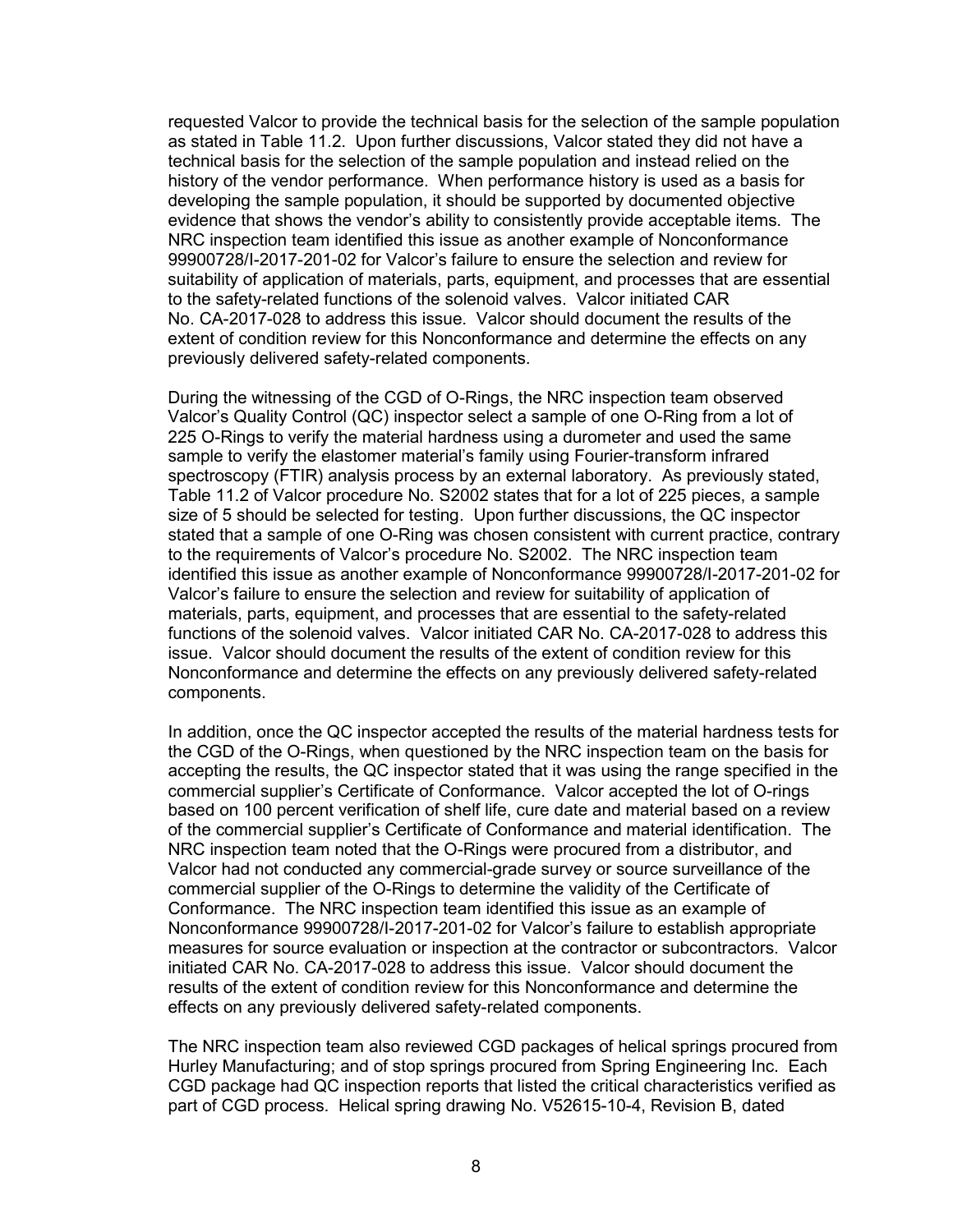requested Valcor to provide the technical basis for the selection of the sample population as stated in Table 11.2. Upon further discussions, Valcor stated they did not have a technical basis for the selection of the sample population and instead relied on the history of the vendor performance. When performance history is used as a basis for developing the sample population, it should be supported by documented objective evidence that shows the vendor's ability to consistently provide acceptable items. The NRC inspection team identified this issue as another example of Nonconformance 99900728/I-2017-201-02 for Valcor's failure to ensure the selection and review for suitability of application of materials, parts, equipment, and processes that are essential to the safety-related functions of the solenoid valves. Valcor initiated CAR No. CA-2017-028 to address this issue. Valcor should document the results of the extent of condition review for this Nonconformance and determine the effects on any previously delivered safety-related components.

During the witnessing of the CGD of O-Rings, the NRC inspection team observed Valcor's Quality Control (QC) inspector select a sample of one O-Ring from a lot of 225 O-Rings to verify the material hardness using a durometer and used the same sample to verify the elastomer material's family using Fourier-transform infrared spectroscopy (FTIR) analysis process by an external laboratory. As previously stated, Table 11.2 of Valcor procedure No. S2002 states that for a lot of 225 pieces, a sample size of 5 should be selected for testing. Upon further discussions, the QC inspector stated that a sample of one O-Ring was chosen consistent with current practice, contrary to the requirements of Valcor's procedure No. S2002. The NRC inspection team identified this issue as another example of Nonconformance 99900728/I-2017-201-02 for Valcor's failure to ensure the selection and review for suitability of application of materials, parts, equipment, and processes that are essential to the safety-related functions of the solenoid valves. Valcor initiated CAR No. CA-2017-028 to address this issue. Valcor should document the results of the extent of condition review for this Nonconformance and determine the effects on any previously delivered safety-related components.

In addition, once the QC inspector accepted the results of the material hardness tests for the CGD of the O-Rings, when questioned by the NRC inspection team on the basis for accepting the results, the QC inspector stated that it was using the range specified in the commercial supplier's Certificate of Conformance. Valcor accepted the lot of O-rings based on 100 percent verification of shelf life, cure date and material based on a review of the commercial supplier's Certificate of Conformance and material identification. The NRC inspection team noted that the O-Rings were procured from a distributor, and Valcor had not conducted any commercial-grade survey or source surveillance of the commercial supplier of the O-Rings to determine the validity of the Certificate of Conformance. The NRC inspection team identified this issue as an example of Nonconformance 99900728/I-2017-201-02 for Valcor's failure to establish appropriate measures for source evaluation or inspection at the contractor or subcontractors. Valcor initiated CAR No. CA-2017-028 to address this issue. Valcor should document the results of the extent of condition review for this Nonconformance and determine the effects on any previously delivered safety-related components.

The NRC inspection team also reviewed CGD packages of helical springs procured from Hurley Manufacturing; and of stop springs procured from Spring Engineering Inc. Each CGD package had QC inspection reports that listed the critical characteristics verified as part of CGD process. Helical spring drawing No. V52615-10-4, Revision B, dated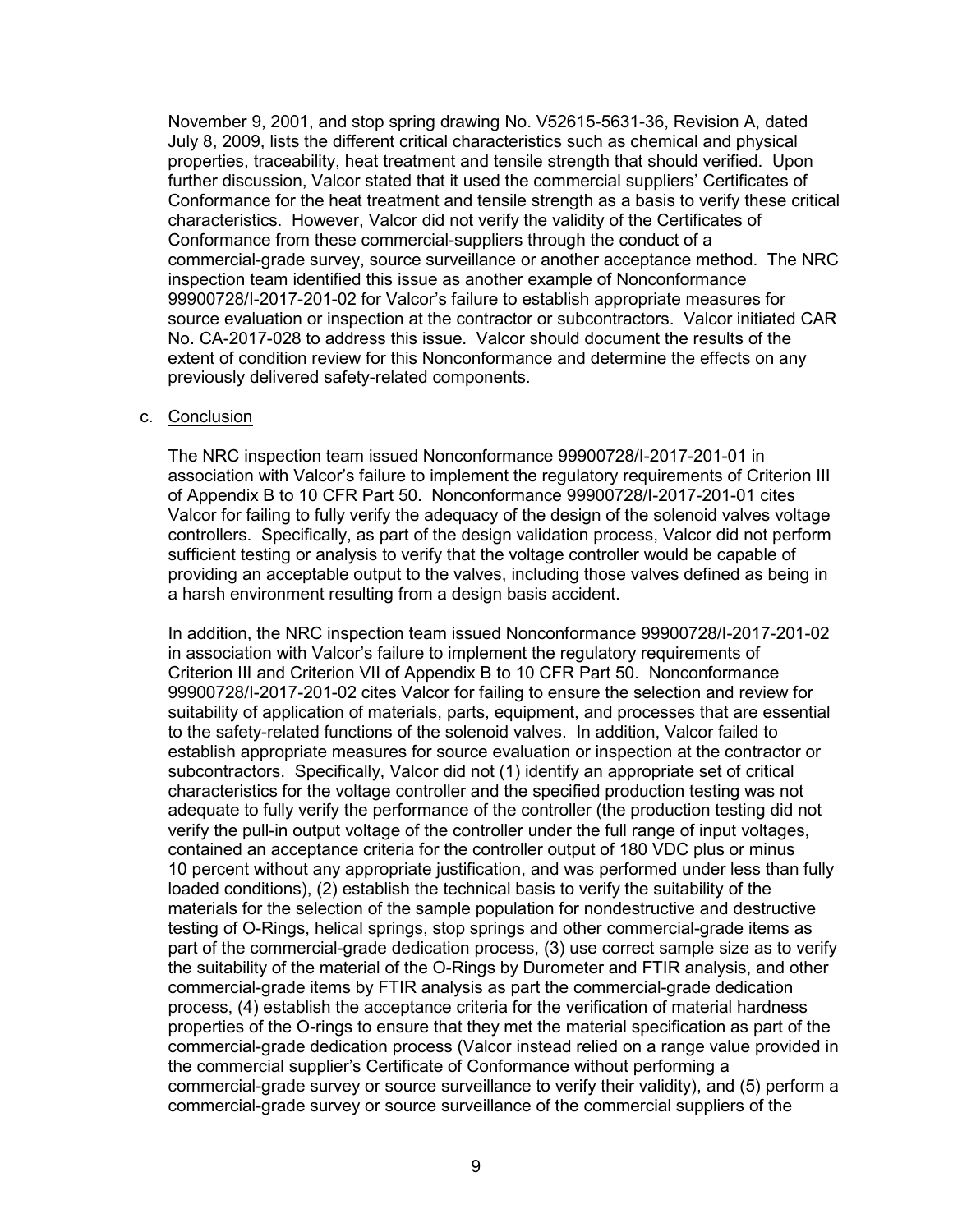November 9, 2001, and stop spring drawing No. V52615-5631-36, Revision A, dated July 8, 2009, lists the different critical characteristics such as chemical and physical properties, traceability, heat treatment and tensile strength that should verified. Upon further discussion, Valcor stated that it used the commercial suppliers' Certificates of Conformance for the heat treatment and tensile strength as a basis to verify these critical characteristics. However, Valcor did not verify the validity of the Certificates of Conformance from these commercial-suppliers through the conduct of a commercial-grade survey, source surveillance or another acceptance method. The NRC inspection team identified this issue as another example of Nonconformance 99900728/I-2017-201-02 for Valcor's failure to establish appropriate measures for source evaluation or inspection at the contractor or subcontractors. Valcor initiated CAR No. CA-2017-028 to address this issue. Valcor should document the results of the extent of condition review for this Nonconformance and determine the effects on any previously delivered safety-related components.

#### c. Conclusion

The NRC inspection team issued Nonconformance 99900728/I-2017-201-01 in association with Valcor's failure to implement the regulatory requirements of Criterion III of Appendix B to 10 CFR Part 50. Nonconformance 99900728/I-2017-201-01 cites Valcor for failing to fully verify the adequacy of the design of the solenoid valves voltage controllers. Specifically, as part of the design validation process, Valcor did not perform sufficient testing or analysis to verify that the voltage controller would be capable of providing an acceptable output to the valves, including those valves defined as being in a harsh environment resulting from a design basis accident.

In addition, the NRC inspection team issued Nonconformance 99900728/I-2017-201-02 in association with Valcor's failure to implement the regulatory requirements of Criterion III and Criterion VII of Appendix B to 10 CFR Part 50. Nonconformance 99900728/I-2017-201-02 cites Valcor for failing to ensure the selection and review for suitability of application of materials, parts, equipment, and processes that are essential to the safety-related functions of the solenoid valves. In addition, Valcor failed to establish appropriate measures for source evaluation or inspection at the contractor or subcontractors. Specifically, Valcor did not (1) identify an appropriate set of critical characteristics for the voltage controller and the specified production testing was not adequate to fully verify the performance of the controller (the production testing did not verify the pull-in output voltage of the controller under the full range of input voltages, contained an acceptance criteria for the controller output of 180 VDC plus or minus 10 percent without any appropriate justification, and was performed under less than fully loaded conditions), (2) establish the technical basis to verify the suitability of the materials for the selection of the sample population for nondestructive and destructive testing of O-Rings, helical springs, stop springs and other commercial-grade items as part of the commercial-grade dedication process, (3) use correct sample size as to verify the suitability of the material of the O-Rings by Durometer and FTIR analysis, and other commercial-grade items by FTIR analysis as part the commercial-grade dedication process, (4) establish the acceptance criteria for the verification of material hardness properties of the O-rings to ensure that they met the material specification as part of the commercial-grade dedication process (Valcor instead relied on a range value provided in the commercial supplier's Certificate of Conformance without performing a commercial-grade survey or source surveillance to verify their validity), and (5) perform a commercial-grade survey or source surveillance of the commercial suppliers of the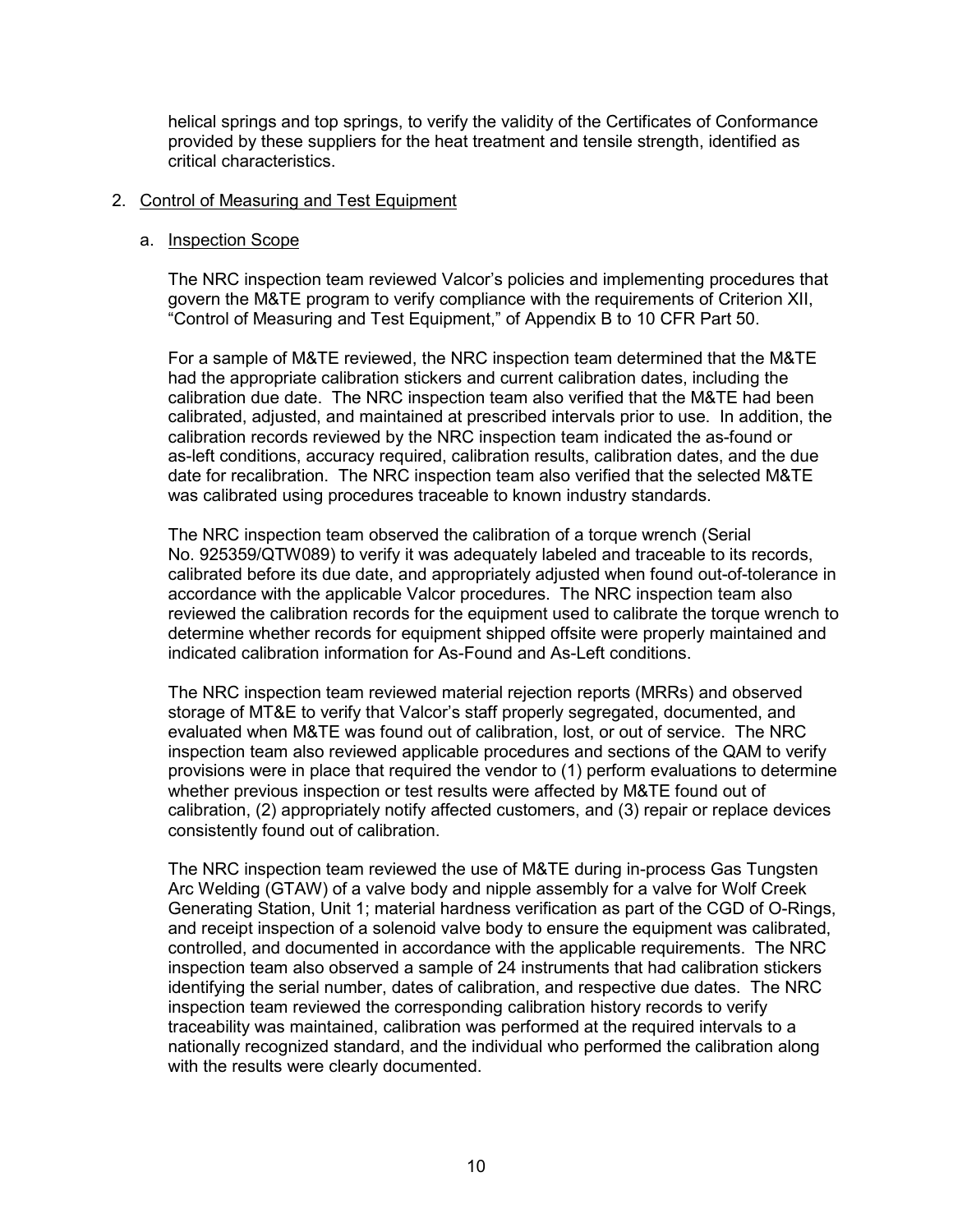helical springs and top springs, to verify the validity of the Certificates of Conformance provided by these suppliers for the heat treatment and tensile strength, identified as critical characteristics.

#### 2. Control of Measuring and Test Equipment

#### a. Inspection Scope

The NRC inspection team reviewed Valcor's policies and implementing procedures that govern the M&TE program to verify compliance with the requirements of Criterion XII, "Control of Measuring and Test Equipment," of Appendix B to 10 CFR Part 50.

For a sample of M&TE reviewed, the NRC inspection team determined that the M&TE had the appropriate calibration stickers and current calibration dates, including the calibration due date. The NRC inspection team also verified that the M&TE had been calibrated, adjusted, and maintained at prescribed intervals prior to use. In addition, the calibration records reviewed by the NRC inspection team indicated the as-found or as-left conditions, accuracy required, calibration results, calibration dates, and the due date for recalibration. The NRC inspection team also verified that the selected M&TE was calibrated using procedures traceable to known industry standards.

The NRC inspection team observed the calibration of a torque wrench (Serial No. 925359/QTW089) to verify it was adequately labeled and traceable to its records, calibrated before its due date, and appropriately adjusted when found out-of-tolerance in accordance with the applicable Valcor procedures. The NRC inspection team also reviewed the calibration records for the equipment used to calibrate the torque wrench to determine whether records for equipment shipped offsite were properly maintained and indicated calibration information for As-Found and As-Left conditions.

The NRC inspection team reviewed material rejection reports (MRRs) and observed storage of MT&E to verify that Valcor's staff properly segregated, documented, and evaluated when M&TE was found out of calibration, lost, or out of service. The NRC inspection team also reviewed applicable procedures and sections of the QAM to verify provisions were in place that required the vendor to (1) perform evaluations to determine whether previous inspection or test results were affected by M&TE found out of calibration, (2) appropriately notify affected customers, and (3) repair or replace devices consistently found out of calibration.

The NRC inspection team reviewed the use of M&TE during in-process Gas Tungsten Arc Welding (GTAW) of a valve body and nipple assembly for a valve for Wolf Creek Generating Station, Unit 1; material hardness verification as part of the CGD of O-Rings, and receipt inspection of a solenoid valve body to ensure the equipment was calibrated, controlled, and documented in accordance with the applicable requirements. The NRC inspection team also observed a sample of 24 instruments that had calibration stickers identifying the serial number, dates of calibration, and respective due dates. The NRC inspection team reviewed the corresponding calibration history records to verify traceability was maintained, calibration was performed at the required intervals to a nationally recognized standard, and the individual who performed the calibration along with the results were clearly documented.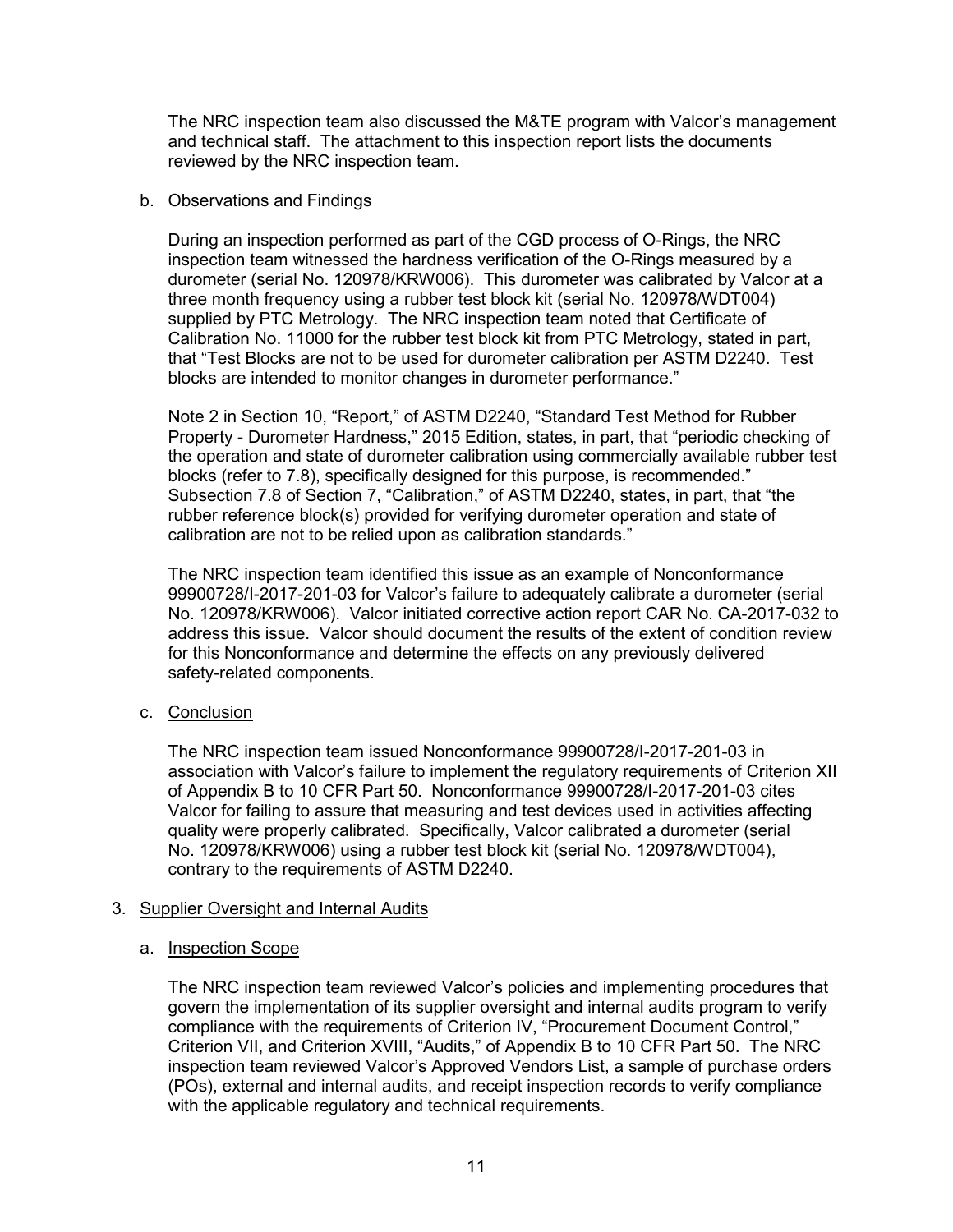The NRC inspection team also discussed the M&TE program with Valcor's management and technical staff. The attachment to this inspection report lists the documents reviewed by the NRC inspection team.

### b. Observations and Findings

During an inspection performed as part of the CGD process of O-Rings, the NRC inspection team witnessed the hardness verification of the O-Rings measured by a durometer (serial No. 120978/KRW006). This durometer was calibrated by Valcor at a three month frequency using a rubber test block kit (serial No. 120978/WDT004) supplied by PTC Metrology. The NRC inspection team noted that Certificate of Calibration No. 11000 for the rubber test block kit from PTC Metrology, stated in part, that "Test Blocks are not to be used for durometer calibration per ASTM D2240. Test blocks are intended to monitor changes in durometer performance."

Note 2 in Section 10, "Report," of ASTM D2240, "Standard Test Method for Rubber Property - Durometer Hardness," 2015 Edition, states, in part, that "periodic checking of the operation and state of durometer calibration using commercially available rubber test blocks (refer to 7.8), specifically designed for this purpose, is recommended." Subsection 7.8 of Section 7, "Calibration," of ASTM D2240, states, in part, that "the rubber reference block(s) provided for verifying durometer operation and state of calibration are not to be relied upon as calibration standards."

The NRC inspection team identified this issue as an example of Nonconformance 99900728/I-2017-201-03 for Valcor's failure to adequately calibrate a durometer (serial No. 120978/KRW006). Valcor initiated corrective action report CAR No. CA-2017-032 to address this issue. Valcor should document the results of the extent of condition review for this Nonconformance and determine the effects on any previously delivered safety-related components.

c. Conclusion

The NRC inspection team issued Nonconformance 99900728/I-2017-201-03 in association with Valcor's failure to implement the regulatory requirements of Criterion XII of Appendix B to 10 CFR Part 50. Nonconformance 99900728/I-2017-201-03 cites Valcor for failing to assure that measuring and test devices used in activities affecting quality were properly calibrated. Specifically, Valcor calibrated a durometer (serial No. 120978/KRW006) using a rubber test block kit (serial No. 120978/WDT004), contrary to the requirements of ASTM D2240.

# 3. Supplier Oversight and Internal Audits

#### a. Inspection Scope

The NRC inspection team reviewed Valcor's policies and implementing procedures that govern the implementation of its supplier oversight and internal audits program to verify compliance with the requirements of Criterion IV, "Procurement Document Control," Criterion VII, and Criterion XVIII, "Audits," of Appendix B to 10 CFR Part 50. The NRC inspection team reviewed Valcor's Approved Vendors List, a sample of purchase orders (POs), external and internal audits, and receipt inspection records to verify compliance with the applicable regulatory and technical requirements.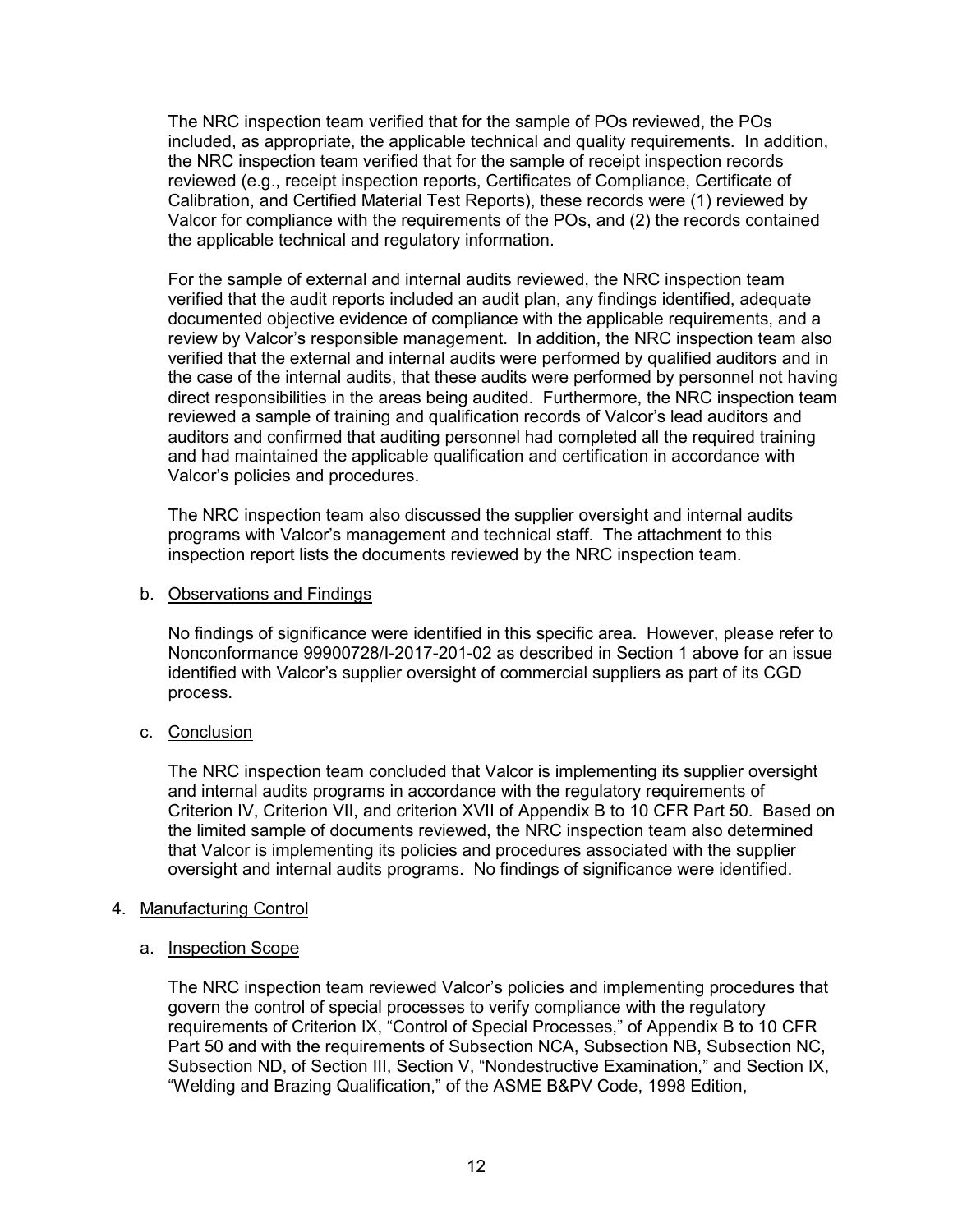The NRC inspection team verified that for the sample of POs reviewed, the POs included, as appropriate, the applicable technical and quality requirements. In addition, the NRC inspection team verified that for the sample of receipt inspection records reviewed (e.g., receipt inspection reports, Certificates of Compliance, Certificate of Calibration, and Certified Material Test Reports), these records were (1) reviewed by Valcor for compliance with the requirements of the POs, and (2) the records contained the applicable technical and regulatory information.

For the sample of external and internal audits reviewed, the NRC inspection team verified that the audit reports included an audit plan, any findings identified, adequate documented objective evidence of compliance with the applicable requirements, and a review by Valcor's responsible management. In addition, the NRC inspection team also verified that the external and internal audits were performed by qualified auditors and in the case of the internal audits, that these audits were performed by personnel not having direct responsibilities in the areas being audited. Furthermore, the NRC inspection team reviewed a sample of training and qualification records of Valcor's lead auditors and auditors and confirmed that auditing personnel had completed all the required training and had maintained the applicable qualification and certification in accordance with Valcor's policies and procedures.

The NRC inspection team also discussed the supplier oversight and internal audits programs with Valcor's management and technical staff. The attachment to this inspection report lists the documents reviewed by the NRC inspection team.

#### b. Observations and Findings

No findings of significance were identified in this specific area. However, please refer to Nonconformance 99900728/I-2017-201-02 as described in Section 1 above for an issue identified with Valcor's supplier oversight of commercial suppliers as part of its CGD process.

# c. Conclusion

The NRC inspection team concluded that Valcor is implementing its supplier oversight and internal audits programs in accordance with the regulatory requirements of Criterion IV, Criterion VII, and criterion XVII of Appendix B to 10 CFR Part 50. Based on the limited sample of documents reviewed, the NRC inspection team also determined that Valcor is implementing its policies and procedures associated with the supplier oversight and internal audits programs. No findings of significance were identified.

# 4. Manufacturing Control

#### a. Inspection Scope

The NRC inspection team reviewed Valcor's policies and implementing procedures that govern the control of special processes to verify compliance with the regulatory requirements of Criterion IX, "Control of Special Processes," of Appendix B to 10 CFR Part 50 and with the requirements of Subsection NCA, Subsection NB, Subsection NC, Subsection ND, of Section III, Section V, "Nondestructive Examination," and Section IX, "Welding and Brazing Qualification," of the ASME B&PV Code, 1998 Edition,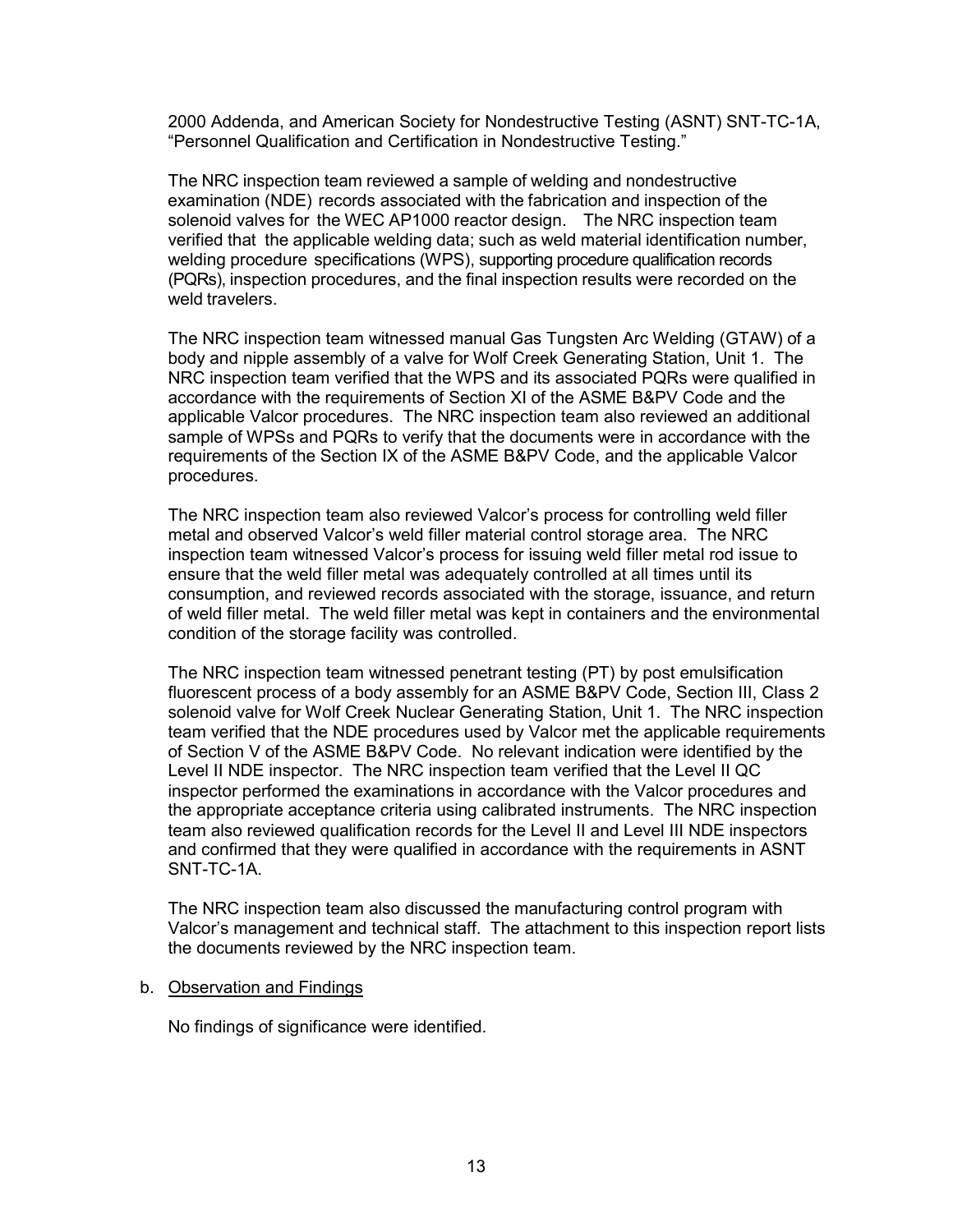2000 Addenda, and American Society for Nondestructive Testing (ASNT) SNT-TC-1A, "Personnel Qualification and Certification in Nondestructive Testing."

The NRC inspection team reviewed a sample of welding and nondestructive examination (NDE) records associated with the fabrication and inspection of the solenoid valves for the WEC AP1000 reactor design. The NRC inspection team verified that the applicable welding data; such as weld material identification number, welding procedure specifications (WPS), supporting procedure qualification records (PQRs), inspection procedures, and the final inspection results were recorded on the weld travelers.

The NRC inspection team witnessed manual Gas Tungsten Arc Welding (GTAW) of a body and nipple assembly of a valve for Wolf Creek Generating Station, Unit 1. The NRC inspection team verified that the WPS and its associated PQRs were qualified in accordance with the requirements of Section XI of the ASME B&PV Code and the applicable Valcor procedures. The NRC inspection team also reviewed an additional sample of WPSs and PQRs to verify that the documents were in accordance with the requirements of the Section IX of the ASME B&PV Code, and the applicable Valcor procedures.

The NRC inspection team also reviewed Valcor's process for controlling weld filler metal and observed Valcor's weld filler material control storage area. The NRC inspection team witnessed Valcor's process for issuing weld filler metal rod issue to ensure that the weld filler metal was adequately controlled at all times until its consumption, and reviewed records associated with the storage, issuance, and return of weld filler metal. The weld filler metal was kept in containers and the environmental condition of the storage facility was controlled.

The NRC inspection team witnessed penetrant testing (PT) by post emulsification fluorescent process of a body assembly for an ASME B&PV Code, Section III, Class 2 solenoid valve for Wolf Creek Nuclear Generating Station, Unit 1. The NRC inspection team verified that the NDE procedures used by Valcor met the applicable requirements of Section V of the ASME B&PV Code. No relevant indication were identified by the Level II NDE inspector. The NRC inspection team verified that the Level II QC inspector performed the examinations in accordance with the Valcor procedures and the appropriate acceptance criteria using calibrated instruments. The NRC inspection team also reviewed qualification records for the Level II and Level III NDE inspectors and confirmed that they were qualified in accordance with the requirements in ASNT SNT-TC-1A.

The NRC inspection team also discussed the manufacturing control program with Valcor's management and technical staff. The attachment to this inspection report lists the documents reviewed by the NRC inspection team.

#### b. Observation and Findings

No findings of significance were identified.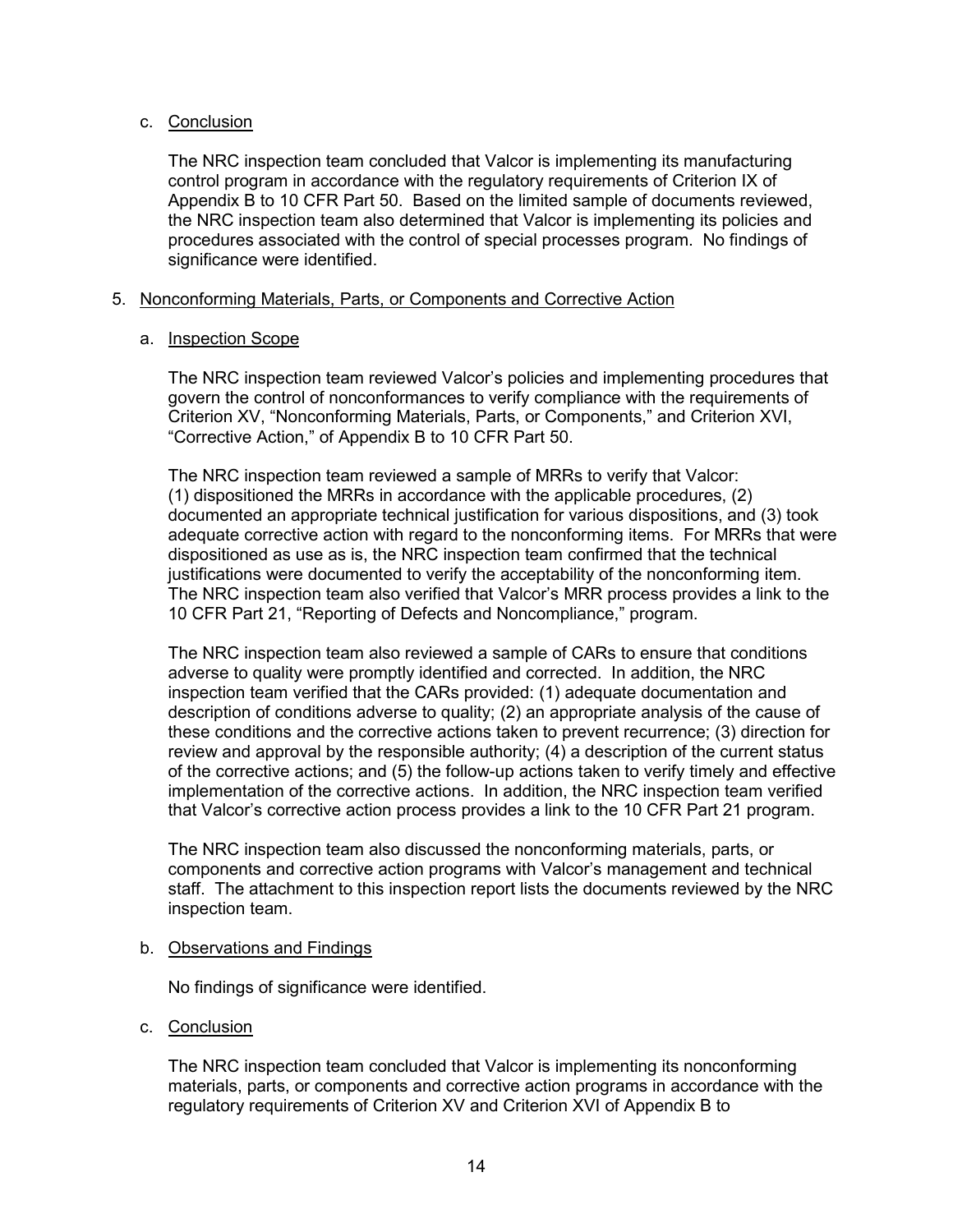# c. Conclusion

The NRC inspection team concluded that Valcor is implementing its manufacturing control program in accordance with the regulatory requirements of Criterion IX of Appendix B to 10 CFR Part 50. Based on the limited sample of documents reviewed, the NRC inspection team also determined that Valcor is implementing its policies and procedures associated with the control of special processes program. No findings of significance were identified.

# 5. Nonconforming Materials, Parts, or Components and Corrective Action

# a. Inspection Scope

The NRC inspection team reviewed Valcor's policies and implementing procedures that govern the control of nonconformances to verify compliance with the requirements of Criterion XV, "Nonconforming Materials, Parts, or Components," and Criterion XVI, "Corrective Action," of Appendix B to 10 CFR Part 50.

The NRC inspection team reviewed a sample of MRRs to verify that Valcor: (1) dispositioned the MRRs in accordance with the applicable procedures, (2) documented an appropriate technical justification for various dispositions, and (3) took adequate corrective action with regard to the nonconforming items. For MRRs that were dispositioned as use as is, the NRC inspection team confirmed that the technical justifications were documented to verify the acceptability of the nonconforming item. The NRC inspection team also verified that Valcor's MRR process provides a link to the 10 CFR Part 21, "Reporting of Defects and Noncompliance," program.

The NRC inspection team also reviewed a sample of CARs to ensure that conditions adverse to quality were promptly identified and corrected. In addition, the NRC inspection team verified that the CARs provided: (1) adequate documentation and description of conditions adverse to quality; (2) an appropriate analysis of the cause of these conditions and the corrective actions taken to prevent recurrence; (3) direction for review and approval by the responsible authority; (4) a description of the current status of the corrective actions; and (5) the follow-up actions taken to verify timely and effective implementation of the corrective actions. In addition, the NRC inspection team verified that Valcor's corrective action process provides a link to the 10 CFR Part 21 program.

The NRC inspection team also discussed the nonconforming materials, parts, or components and corrective action programs with Valcor's management and technical staff. The attachment to this inspection report lists the documents reviewed by the NRC inspection team.

# b. Observations and Findings

No findings of significance were identified.

c. Conclusion

The NRC inspection team concluded that Valcor is implementing its nonconforming materials, parts, or components and corrective action programs in accordance with the regulatory requirements of Criterion XV and Criterion XVI of Appendix B to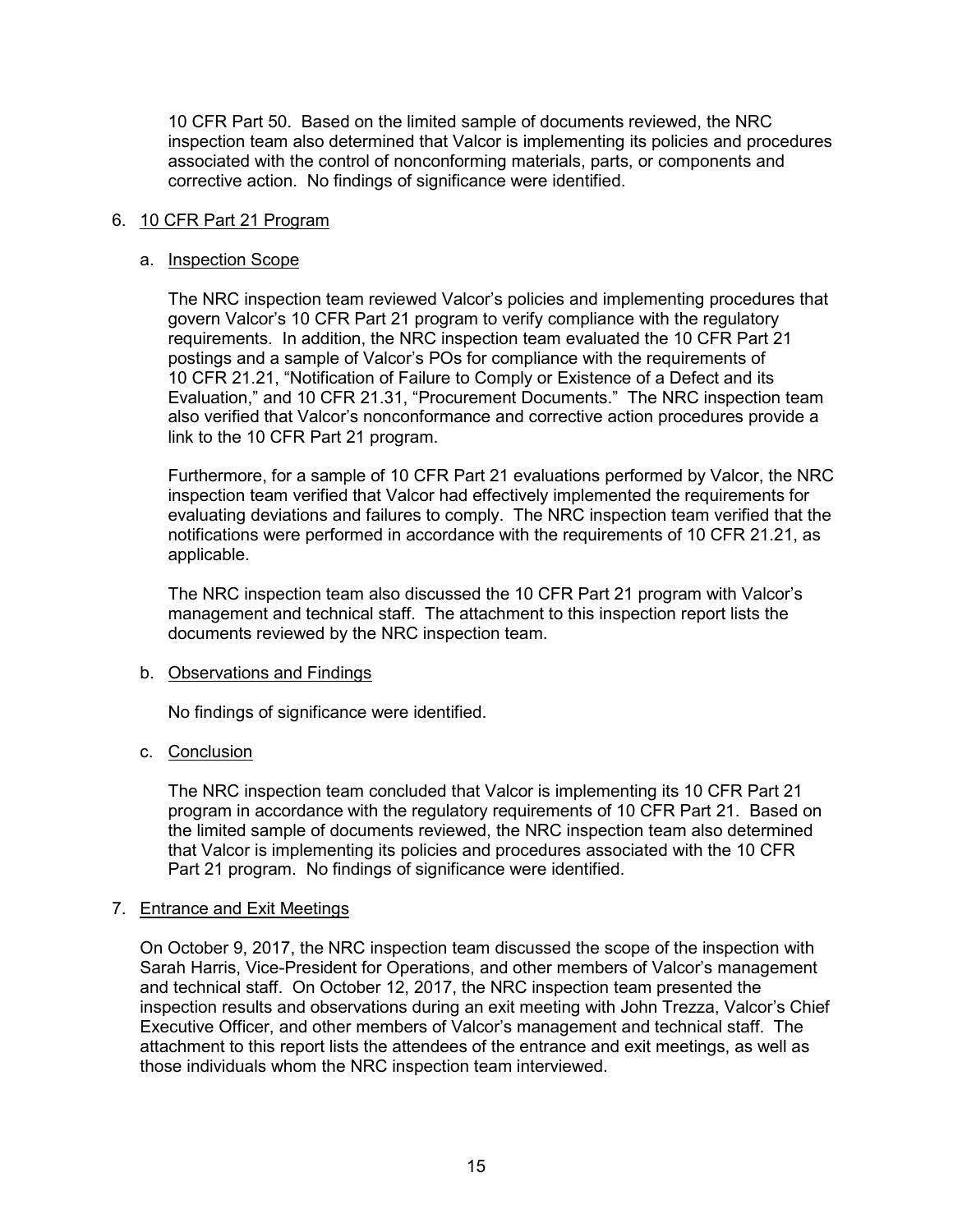10 CFR Part 50. Based on the limited sample of documents reviewed, the NRC inspection team also determined that Valcor is implementing its policies and procedures associated with the control of nonconforming materials, parts, or components and corrective action. No findings of significance were identified.

#### 6. 10 CFR Part 21 Program

#### a. Inspection Scope

The NRC inspection team reviewed Valcor's policies and implementing procedures that govern Valcor's 10 CFR Part 21 program to verify compliance with the regulatory requirements. In addition, the NRC inspection team evaluated the 10 CFR Part 21 postings and a sample of Valcor's POs for compliance with the requirements of 10 CFR 21.21, "Notification of Failure to Comply or Existence of a Defect and its Evaluation," and 10 CFR 21.31, "Procurement Documents." The NRC inspection team also verified that Valcor's nonconformance and corrective action procedures provide a link to the 10 CFR Part 21 program.

Furthermore, for a sample of 10 CFR Part 21 evaluations performed by Valcor, the NRC inspection team verified that Valcor had effectively implemented the requirements for evaluating deviations and failures to comply. The NRC inspection team verified that the notifications were performed in accordance with the requirements of 10 CFR 21.21, as applicable.

The NRC inspection team also discussed the 10 CFR Part 21 program with Valcor's management and technical staff. The attachment to this inspection report lists the documents reviewed by the NRC inspection team.

# b. Observations and Findings

No findings of significance were identified.

# c. Conclusion

The NRC inspection team concluded that Valcor is implementing its 10 CFR Part 21 program in accordance with the regulatory requirements of 10 CFR Part 21. Based on the limited sample of documents reviewed, the NRC inspection team also determined that Valcor is implementing its policies and procedures associated with the 10 CFR Part 21 program. No findings of significance were identified.

# 7. Entrance and Exit Meetings

On October 9, 2017, the NRC inspection team discussed the scope of the inspection with Sarah Harris, Vice-President for Operations, and other members of Valcor's management and technical staff. On October 12, 2017, the NRC inspection team presented the inspection results and observations during an exit meeting with John Trezza, Valcor's Chief Executive Officer, and other members of Valcor's management and technical staff. The attachment to this report lists the attendees of the entrance and exit meetings, as well as those individuals whom the NRC inspection team interviewed.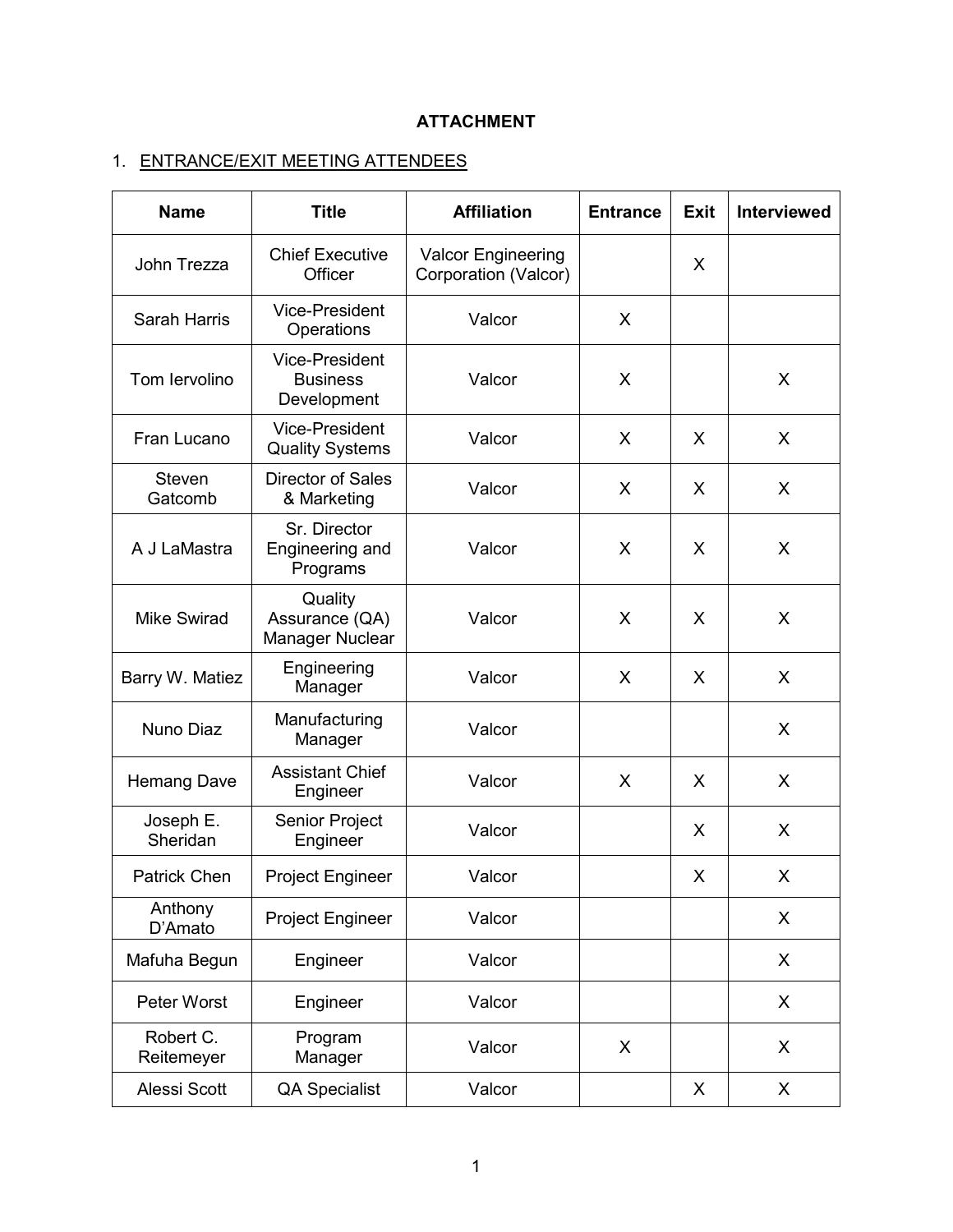# **ATTACHMENT**

# 1. ENTRANCE/EXIT MEETING ATTENDEES

| <b>Name</b>             | <b>Title</b>                                            | <b>Affiliation</b>                                | <b>Entrance</b> | <b>Exit</b> | <b>Interviewed</b> |  |
|-------------------------|---------------------------------------------------------|---------------------------------------------------|-----------------|-------------|--------------------|--|
| John Trezza             | <b>Chief Executive</b><br>Officer                       | <b>Valcor Engineering</b><br>Corporation (Valcor) |                 | X           |                    |  |
| <b>Sarah Harris</b>     | <b>Vice-President</b><br>Operations                     | Valcor                                            | X               |             |                    |  |
| Tom Iervolino           | <b>Vice-President</b><br><b>Business</b><br>Development | Valcor                                            | X               |             | X                  |  |
| Fran Lucano             | <b>Vice-President</b><br><b>Quality Systems</b>         | Valcor                                            | X               | X           | X                  |  |
| Steven<br>Gatcomb       | Director of Sales<br>& Marketing                        | Valcor                                            | X               | X           | X                  |  |
| A J LaMastra            | Sr. Director<br>Engineering and<br>Programs             | Valcor                                            | X               | X           | X                  |  |
| <b>Mike Swirad</b>      | Quality<br>Assurance (QA)<br>Manager Nuclear            | Valcor                                            | X               | X           | X                  |  |
| Barry W. Matiez         | Engineering<br>Manager                                  | Valcor                                            | X               | X           | X                  |  |
| Nuno Diaz               | Manufacturing<br>Manager                                | Valcor                                            |                 |             | X                  |  |
| Hemang Dave             | <b>Assistant Chief</b><br>Engineer                      | Valcor                                            | X               | X           | X                  |  |
| Joseph E.<br>Sheridan   | Senior Project<br>Engineer                              | Valcor                                            |                 | X           | X                  |  |
| <b>Patrick Chen</b>     | <b>Project Engineer</b>                                 | Valcor                                            |                 | X           | X                  |  |
| Anthony<br>D'Amato      | <b>Project Engineer</b>                                 | Valcor                                            |                 |             | X                  |  |
| Mafuha Begun            | Engineer                                                | Valcor                                            |                 |             | X                  |  |
| Peter Worst             | Engineer                                                | Valcor                                            |                 |             | X                  |  |
| Robert C.<br>Reitemeyer | Program<br>Manager                                      | Valcor                                            | X               |             | X                  |  |
| Alessi Scott            | QA Specialist                                           | Valcor                                            |                 | X           | X                  |  |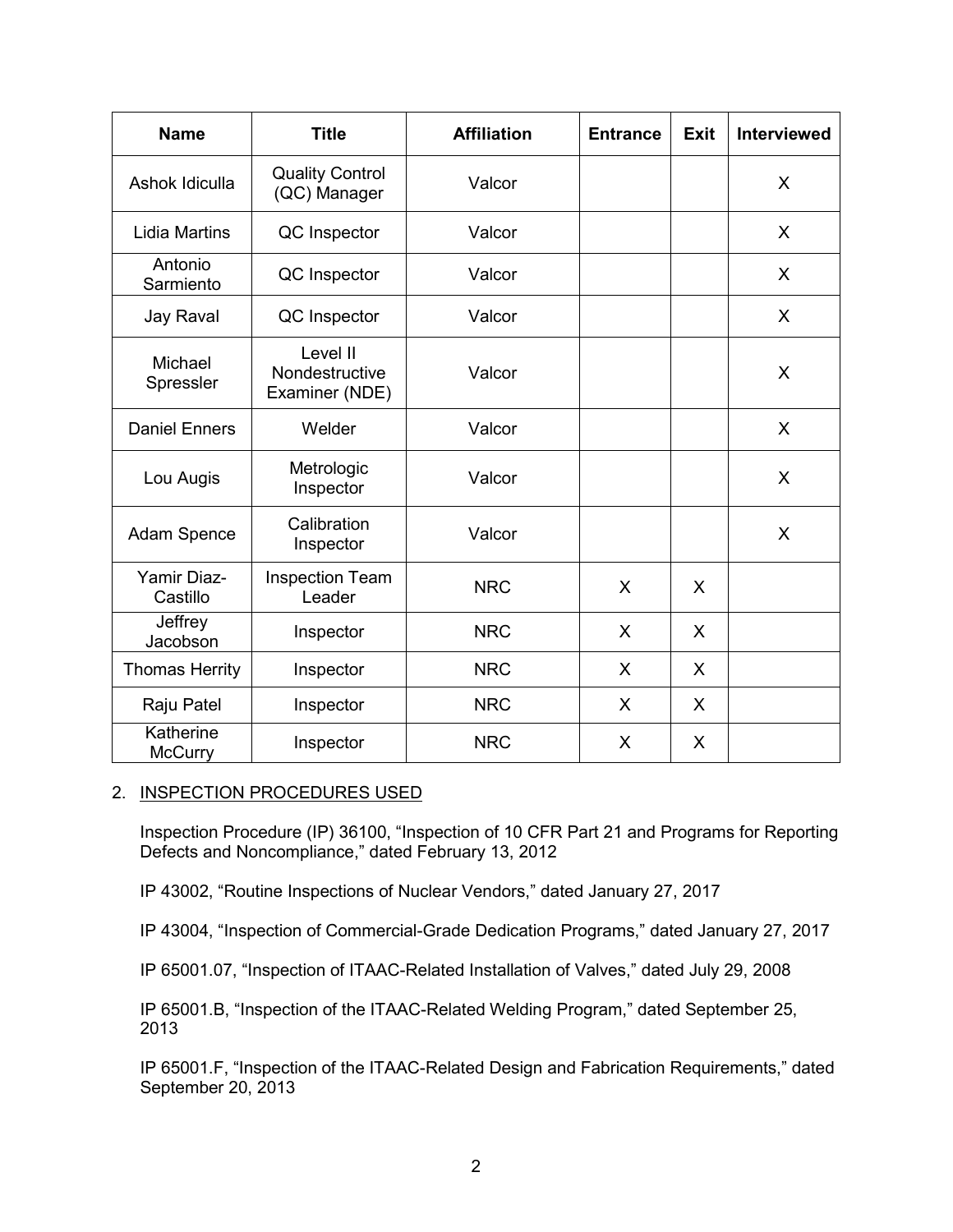| <b>Name</b>                    | <b>Title</b>                                 | <b>Affiliation</b> | <b>Entrance</b> | <b>Exit</b> | <b>Interviewed</b> |
|--------------------------------|----------------------------------------------|--------------------|-----------------|-------------|--------------------|
| Ashok Idiculla                 | <b>Quality Control</b><br>(QC) Manager       | Valcor             |                 |             | X                  |
| <b>Lidia Martins</b>           | QC Inspector                                 | Valcor             |                 |             | $\sf X$            |
| Antonio<br>Sarmiento           | QC Inspector                                 | Valcor             |                 |             | X                  |
| Jay Raval                      | QC Inspector                                 | Valcor             |                 |             | X                  |
| Michael<br>Spressler           | Level II<br>Nondestructive<br>Examiner (NDE) | Valcor             |                 |             | X                  |
| <b>Daniel Enners</b>           | Welder                                       | Valcor             |                 |             | X                  |
| Lou Augis                      | Metrologic<br>Inspector                      | Valcor             |                 |             | X                  |
| Adam Spence                    | Calibration<br>Inspector                     | Valcor             |                 |             | X                  |
| <b>Yamir Diaz-</b><br>Castillo | <b>Inspection Team</b><br>Leader             | <b>NRC</b>         | X               | X           |                    |
| Jeffrey<br>Jacobson            | Inspector                                    | <b>NRC</b>         | $\sf X$         | X           |                    |
| <b>Thomas Herrity</b>          | Inspector                                    | <b>NRC</b>         | X               | X           |                    |
| Raju Patel                     | Inspector                                    | <b>NRC</b>         | X               | X           |                    |
| Katherine<br><b>McCurry</b>    | Inspector                                    | <b>NRC</b>         | X               | X           |                    |

### 2. INSPECTION PROCEDURES USED

Inspection Procedure (IP) 36100, "Inspection of 10 CFR Part 21 and Programs for Reporting Defects and Noncompliance," dated February 13, 2012

IP 43002, "Routine Inspections of Nuclear Vendors," dated January 27, 2017

IP 43004, "Inspection of Commercial-Grade Dedication Programs," dated January 27, 2017

IP 65001.07, "Inspection of ITAAC-Related Installation of Valves," dated July 29, 2008

IP 65001.B, "Inspection of the ITAAC-Related Welding Program," dated September 25, 2013

IP 65001.F, "Inspection of the ITAAC-Related Design and Fabrication Requirements," dated September 20, 2013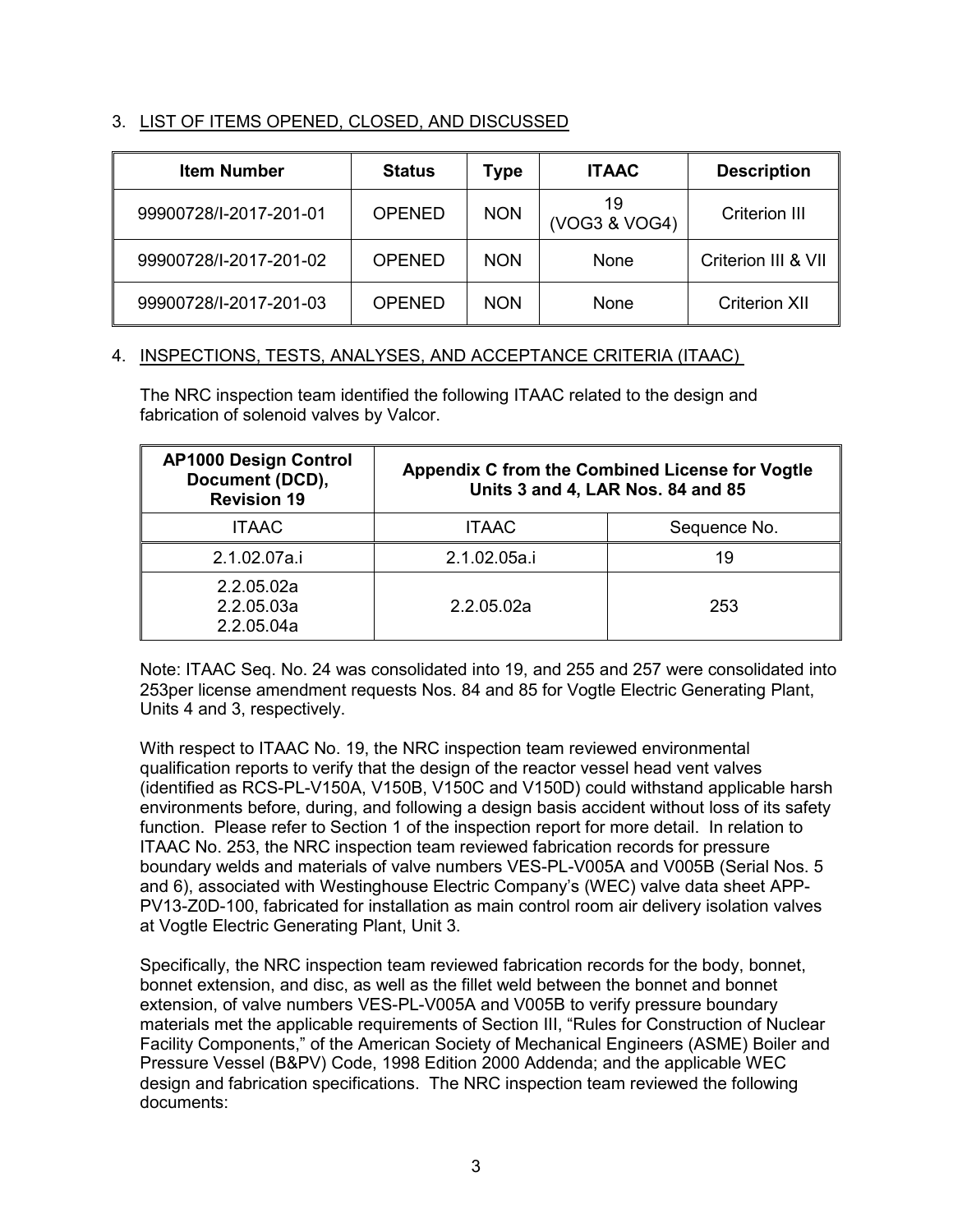# 3. LIST OF ITEMS OPENED, CLOSED, AND DISCUSSED

| <b>Item Number</b>     | <b>Status</b> | Type       | <b>ITAAC</b>        | <b>Description</b>   |
|------------------------|---------------|------------|---------------------|----------------------|
| 99900728/I-2017-201-01 | <b>OPENED</b> | <b>NON</b> | 19<br>(VOG3 & VOG4) | <b>Criterion III</b> |
| 99900728/I-2017-201-02 | <b>OPENED</b> | <b>NON</b> | <b>None</b>         | Criterion III & VII  |
| 99900728/I-2017-201-03 | <b>OPENED</b> | <b>NON</b> | <b>None</b>         | <b>Criterion XII</b> |

# 4. INSPECTIONS, TESTS, ANALYSES, AND ACCEPTANCE CRITERIA (ITAAC)

The NRC inspection team identified the following ITAAC related to the design and fabrication of solenoid valves by Valcor.

| <b>AP1000 Design Control</b><br>Document (DCD),<br><b>Revision 19</b> | Appendix C from the Combined License for Vogtle<br>Units 3 and 4, LAR Nos. 84 and 85 |              |  |
|-----------------------------------------------------------------------|--------------------------------------------------------------------------------------|--------------|--|
| <b>ITAAC</b>                                                          | <b>ITAAC</b>                                                                         | Sequence No. |  |
| 2.1.02.07a.i                                                          | 2.1.02.05a.i                                                                         | 19           |  |
| 2.2.05.02a<br>2.2.05.03a<br>2.2.05.04a                                | 2.2.05.02a                                                                           | 253          |  |

Note: ITAAC Seq. No. 24 was consolidated into 19, and 255 and 257 were consolidated into 253per license amendment requests Nos. 84 and 85 for Vogtle Electric Generating Plant, Units 4 and 3, respectively.

With respect to ITAAC No. 19, the NRC inspection team reviewed environmental qualification reports to verify that the design of the reactor vessel head vent valves (identified as RCS-PL-V150A, V150B, V150C and V150D) could withstand applicable harsh environments before, during, and following a design basis accident without loss of its safety function. Please refer to Section 1 of the inspection report for more detail. In relation to ITAAC No. 253, the NRC inspection team reviewed fabrication records for pressure boundary welds and materials of valve numbers VES-PL-V005A and V005B (Serial Nos. 5 and 6), associated with Westinghouse Electric Company's (WEC) valve data sheet APP-PV13-Z0D-100, fabricated for installation as main control room air delivery isolation valves at Vogtle Electric Generating Plant, Unit 3.

Specifically, the NRC inspection team reviewed fabrication records for the body, bonnet, bonnet extension, and disc, as well as the fillet weld between the bonnet and bonnet extension, of valve numbers VES-PL-V005A and V005B to verify pressure boundary materials met the applicable requirements of Section III, "Rules for Construction of Nuclear Facility Components," of the American Society of Mechanical Engineers (ASME) Boiler and Pressure Vessel (B&PV) Code, 1998 Edition 2000 Addenda; and the applicable WEC design and fabrication specifications. The NRC inspection team reviewed the following documents: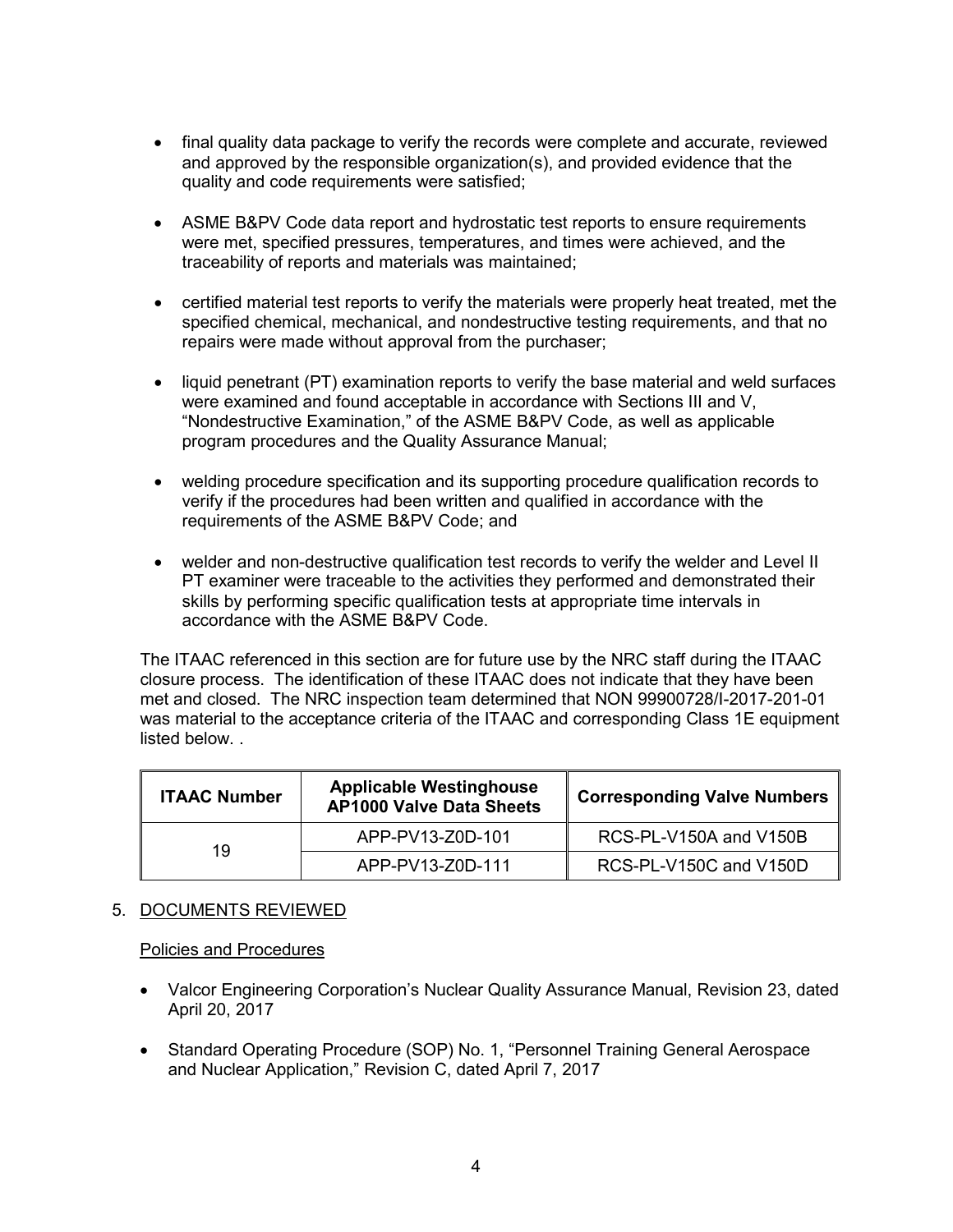- final quality data package to verify the records were complete and accurate, reviewed and approved by the responsible organization(s), and provided evidence that the quality and code requirements were satisfied;
- ASME B&PV Code data report and hydrostatic test reports to ensure requirements were met, specified pressures, temperatures, and times were achieved, and the traceability of reports and materials was maintained;
- certified material test reports to verify the materials were properly heat treated, met the specified chemical, mechanical, and nondestructive testing requirements, and that no repairs were made without approval from the purchaser;
- liquid penetrant (PT) examination reports to verify the base material and weld surfaces were examined and found acceptable in accordance with Sections III and V, "Nondestructive Examination," of the ASME B&PV Code, as well as applicable program procedures and the Quality Assurance Manual;
- welding procedure specification and its supporting procedure qualification records to verify if the procedures had been written and qualified in accordance with the requirements of the ASME B&PV Code; and
- welder and non-destructive qualification test records to verify the welder and Level II PT examiner were traceable to the activities they performed and demonstrated their skills by performing specific qualification tests at appropriate time intervals in accordance with the ASME B&PV Code.

The ITAAC referenced in this section are for future use by the NRC staff during the ITAAC closure process. The identification of these ITAAC does not indicate that they have been met and closed. The NRC inspection team determined that NON 99900728/I-2017-201-01 was material to the acceptance criteria of the ITAAC and corresponding Class 1E equipment listed below. .

| <b>Applicable Westinghouse</b><br><b>ITAAC Number</b><br><b>AP1000 Valve Data Sheets</b> |                  | <b>Corresponding Valve Numbers</b> |  |
|------------------------------------------------------------------------------------------|------------------|------------------------------------|--|
| 19                                                                                       | APP-PV13-Z0D-101 | RCS-PL-V150A and V150B             |  |
|                                                                                          | APP-PV13-Z0D-111 | RCS-PL-V150C and V150D             |  |

# 5. DOCUMENTS REVIEWED

# Policies and Procedures

- Valcor Engineering Corporation's Nuclear Quality Assurance Manual, Revision 23, dated April 20, 2017
- Standard Operating Procedure (SOP) No. 1, "Personnel Training General Aerospace and Nuclear Application," Revision C, dated April 7, 2017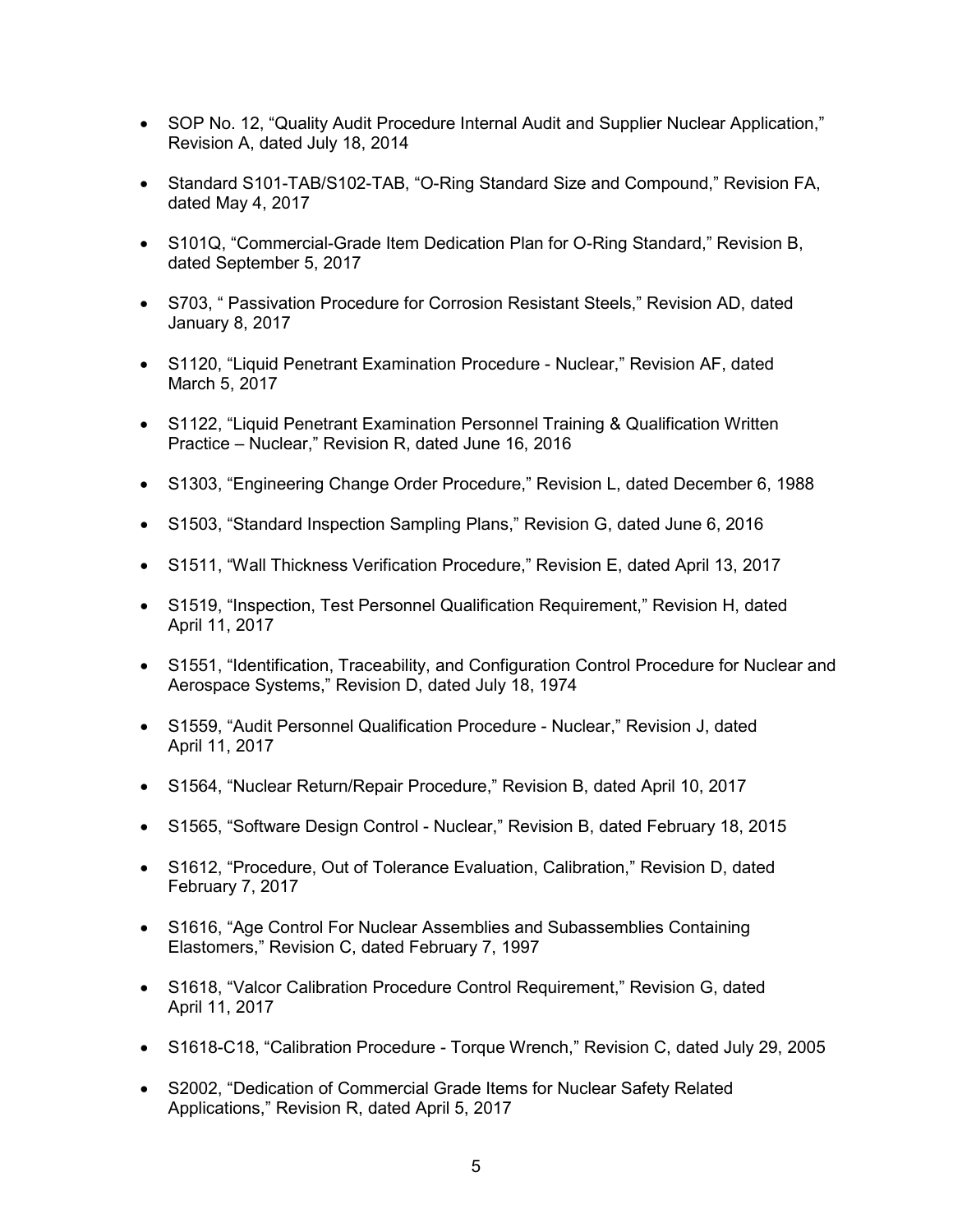- SOP No. 12, "Quality Audit Procedure Internal Audit and Supplier Nuclear Application," Revision A, dated July 18, 2014
- Standard S101-TAB/S102-TAB, "O-Ring Standard Size and Compound," Revision FA, dated May 4, 2017
- S101Q, "Commercial-Grade Item Dedication Plan for O-Ring Standard," Revision B, dated September 5, 2017
- S703, " Passivation Procedure for Corrosion Resistant Steels," Revision AD, dated January 8, 2017
- S1120, "Liquid Penetrant Examination Procedure Nuclear," Revision AF, dated March 5, 2017
- S1122, "Liquid Penetrant Examination Personnel Training & Qualification Written Practice – Nuclear," Revision R, dated June 16, 2016
- S1303, "Engineering Change Order Procedure," Revision L, dated December 6, 1988
- S1503, "Standard Inspection Sampling Plans," Revision G, dated June 6, 2016
- S1511, "Wall Thickness Verification Procedure," Revision E, dated April 13, 2017
- S1519, "Inspection, Test Personnel Qualification Requirement," Revision H, dated April 11, 2017
- S1551, "Identification, Traceability, and Configuration Control Procedure for Nuclear and Aerospace Systems," Revision D, dated July 18, 1974
- S1559, "Audit Personnel Qualification Procedure Nuclear," Revision J, dated April 11, 2017
- S1564, "Nuclear Return/Repair Procedure," Revision B, dated April 10, 2017
- S1565, "Software Design Control Nuclear," Revision B, dated February 18, 2015
- S1612, "Procedure, Out of Tolerance Evaluation, Calibration," Revision D, dated February 7, 2017
- S1616, "Age Control For Nuclear Assemblies and Subassemblies Containing Elastomers," Revision C, dated February 7, 1997
- S1618, "Valcor Calibration Procedure Control Requirement," Revision G, dated April 11, 2017
- S1618-C18, "Calibration Procedure Torque Wrench," Revision C, dated July 29, 2005
- S2002, "Dedication of Commercial Grade Items for Nuclear Safety Related Applications," Revision R, dated April 5, 2017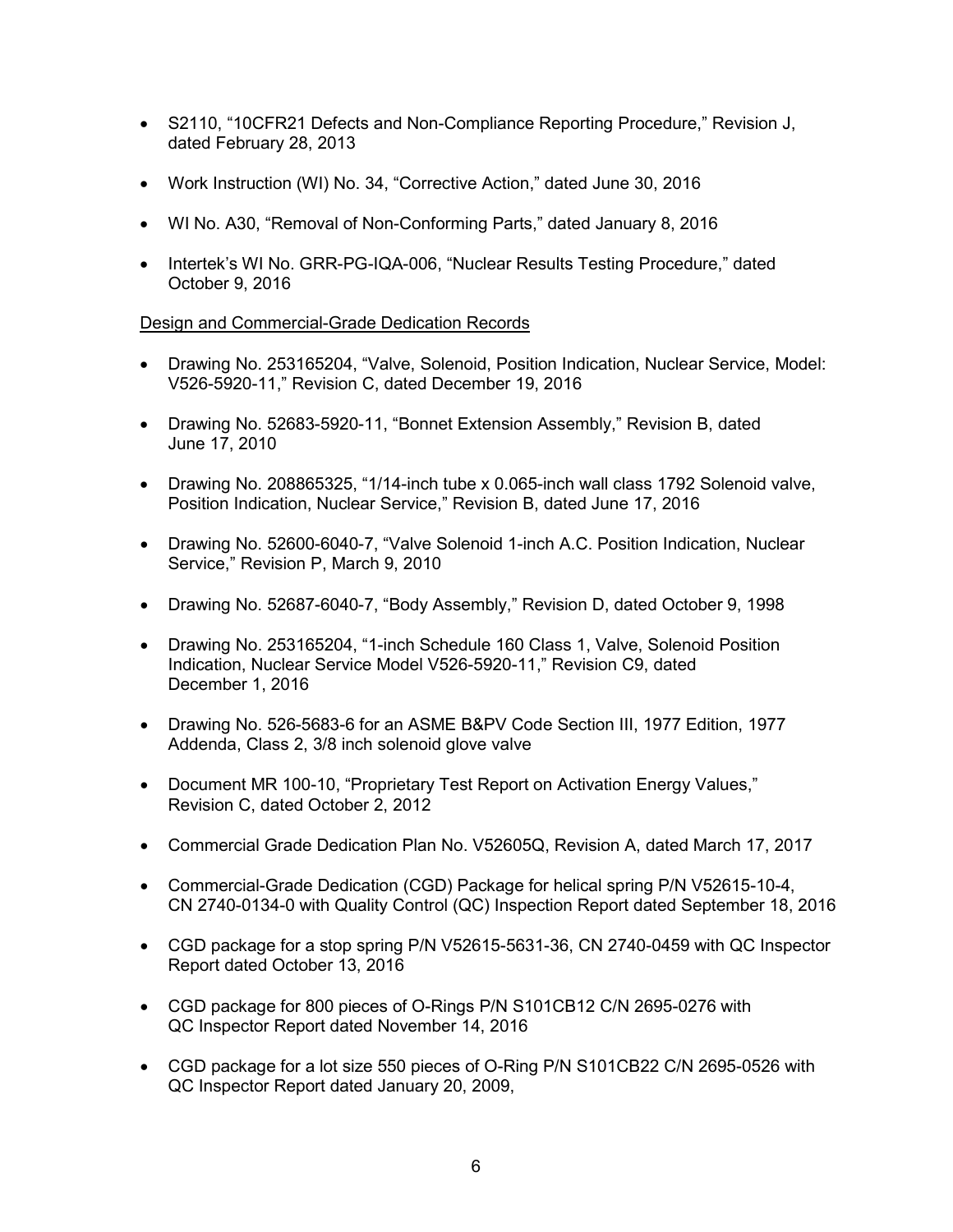- S2110, "10CFR21 Defects and Non-Compliance Reporting Procedure," Revision J, dated February 28, 2013
- Work Instruction (WI) No. 34, "Corrective Action," dated June 30, 2016
- WI No. A30, "Removal of Non-Conforming Parts," dated January 8, 2016
- Intertek's WI No. GRR-PG-IQA-006, "Nuclear Results Testing Procedure," dated October 9, 2016

# Design and Commercial-Grade Dedication Records

- Drawing No. 253165204, "Valve, Solenoid, Position Indication, Nuclear Service, Model: V526-5920-11," Revision C, dated December 19, 2016
- Drawing No. 52683-5920-11, "Bonnet Extension Assembly," Revision B, dated June 17, 2010
- Drawing No. 208865325, "1/14-inch tube x 0.065-inch wall class 1792 Solenoid valve, Position Indication, Nuclear Service," Revision B, dated June 17, 2016
- Drawing No. 52600-6040-7, "Valve Solenoid 1-inch A.C. Position Indication, Nuclear Service," Revision P, March 9, 2010
- Drawing No. 52687-6040-7, "Body Assembly," Revision D, dated October 9, 1998
- Drawing No. 253165204, "1-inch Schedule 160 Class 1, Valve, Solenoid Position Indication, Nuclear Service Model V526-5920-11," Revision C9, dated December 1, 2016
- Drawing No. 526-5683-6 for an ASME B&PV Code Section III, 1977 Edition, 1977 Addenda, Class 2, 3/8 inch solenoid glove valve
- Document MR 100-10, "Proprietary Test Report on Activation Energy Values," Revision C, dated October 2, 2012
- Commercial Grade Dedication Plan No. V52605Q, Revision A, dated March 17, 2017
- Commercial-Grade Dedication (CGD) Package for helical spring P/N V52615-10-4, CN 2740-0134-0 with Quality Control (QC) Inspection Report dated September 18, 2016
- CGD package for a stop spring P/N V52615-5631-36, CN 2740-0459 with QC Inspector Report dated October 13, 2016
- CGD package for 800 pieces of O-Rings P/N S101CB12 C/N 2695-0276 with QC Inspector Report dated November 14, 2016
- CGD package for a lot size 550 pieces of O-Ring P/N S101CB22 C/N 2695-0526 with QC Inspector Report dated January 20, 2009,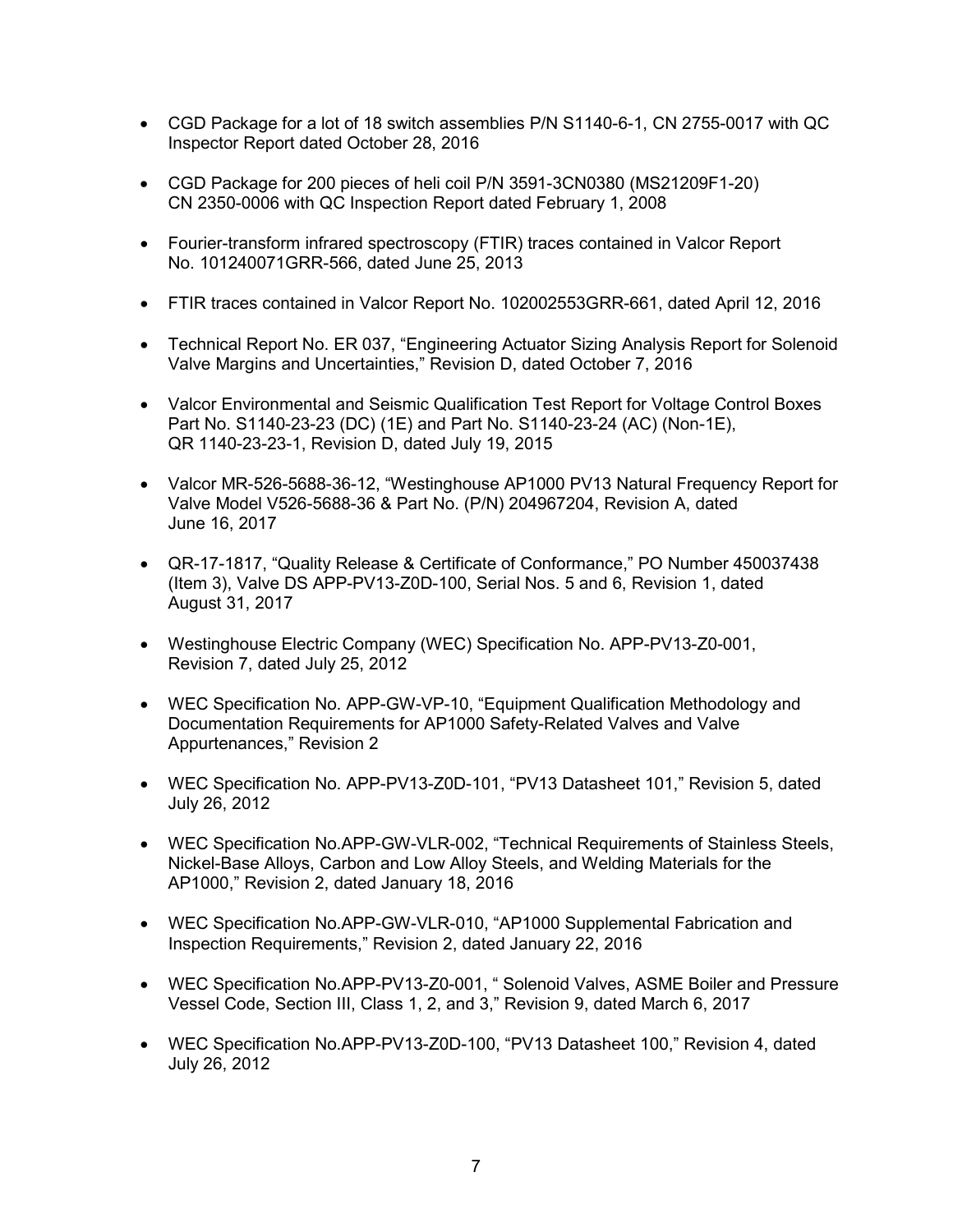- CGD Package for a lot of 18 switch assemblies P/N S1140-6-1, CN 2755-0017 with QC Inspector Report dated October 28, 2016
- CGD Package for 200 pieces of heli coil P/N 3591-3CN0380 (MS21209F1-20) CN 2350-0006 with QC Inspection Report dated February 1, 2008
- Fourier-transform infrared spectroscopy (FTIR) traces contained in Valcor Report No. 101240071GRR-566, dated June 25, 2013
- FTIR traces contained in Valcor Report No. 102002553GRR-661, dated April 12, 2016
- Technical Report No. ER 037, "Engineering Actuator Sizing Analysis Report for Solenoid Valve Margins and Uncertainties," Revision D, dated October 7, 2016
- Valcor Environmental and Seismic Qualification Test Report for Voltage Control Boxes Part No. S1140-23-23 (DC) (1E) and Part No. S1140-23-24 (AC) (Non-1E), QR 1140-23-23-1, Revision D, dated July 19, 2015
- Valcor MR-526-5688-36-12, "Westinghouse AP1000 PV13 Natural Frequency Report for Valve Model V526-5688-36 & Part No. (P/N) 204967204, Revision A, dated June 16, 2017
- QR-17-1817, "Quality Release & Certificate of Conformance," PO Number 450037438 (Item 3), Valve DS APP-PV13-Z0D-100, Serial Nos. 5 and 6, Revision 1, dated August 31, 2017
- Westinghouse Electric Company (WEC) Specification No. APP-PV13-Z0-001, Revision 7, dated July 25, 2012
- WEC Specification No. APP-GW-VP-10, "Equipment Qualification Methodology and Documentation Requirements for AP1000 Safety-Related Valves and Valve Appurtenances," Revision 2
- WEC Specification No. APP-PV13-Z0D-101, "PV13 Datasheet 101," Revision 5, dated July 26, 2012
- WEC Specification No.APP-GW-VLR-002, "Technical Requirements of Stainless Steels, Nickel-Base Alloys, Carbon and Low Alloy Steels, and Welding Materials for the AP1000," Revision 2, dated January 18, 2016
- WEC Specification No.APP-GW-VLR-010, "AP1000 Supplemental Fabrication and Inspection Requirements," Revision 2, dated January 22, 2016
- WEC Specification No.APP-PV13-Z0-001, " Solenoid Valves, ASME Boiler and Pressure Vessel Code, Section III, Class 1, 2, and 3," Revision 9, dated March 6, 2017
- WEC Specification No.APP-PV13-Z0D-100, "PV13 Datasheet 100," Revision 4, dated July 26, 2012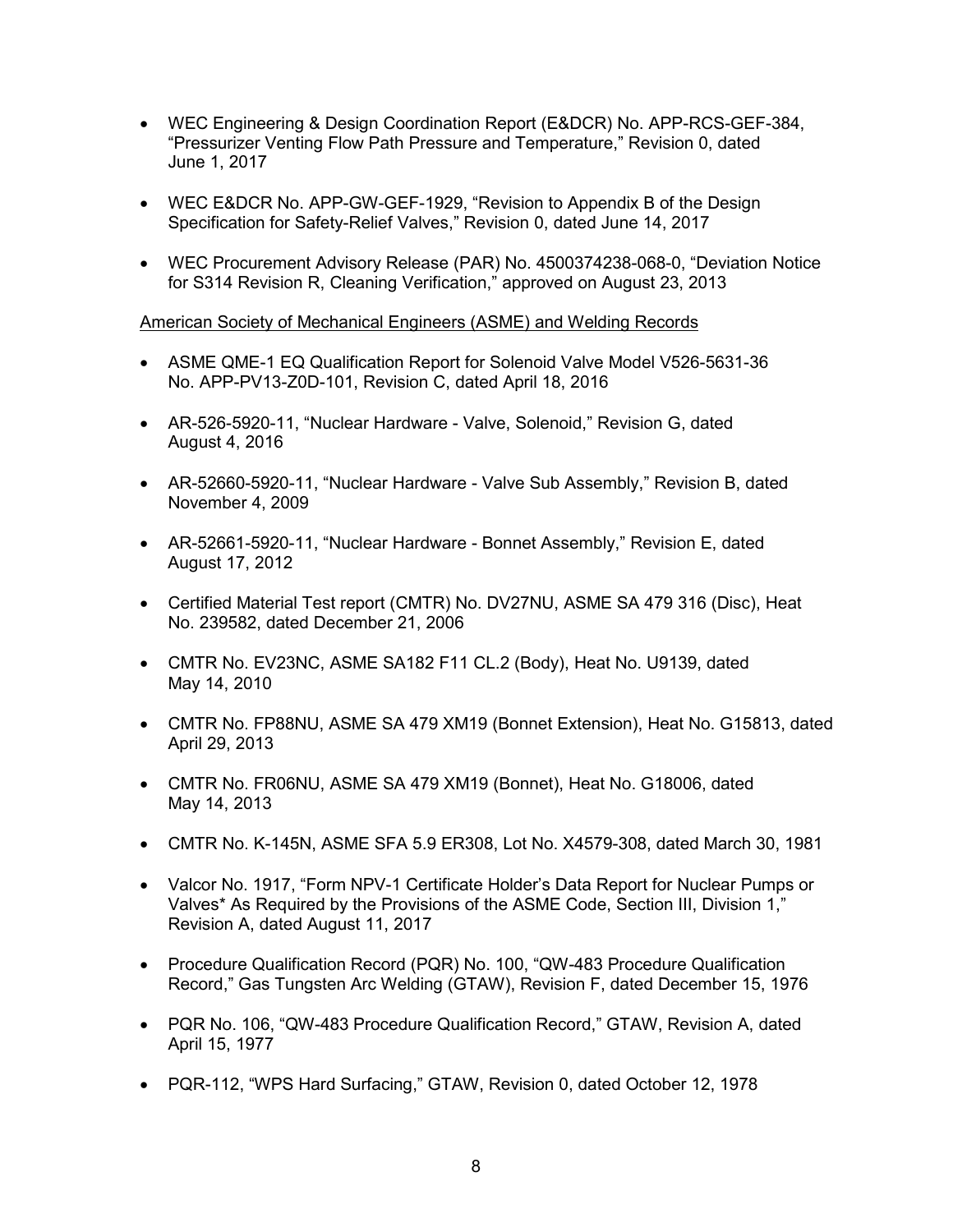- WEC Engineering & Design Coordination Report (E&DCR) No. APP-RCS-GEF-384, "Pressurizer Venting Flow Path Pressure and Temperature," Revision 0, dated June 1, 2017
- WEC E&DCR No. APP-GW-GEF-1929, "Revision to Appendix B of the Design Specification for Safety-Relief Valves," Revision 0, dated June 14, 2017
- WEC Procurement Advisory Release (PAR) No. 4500374238-068-0, "Deviation Notice for S314 Revision R, Cleaning Verification," approved on August 23, 2013

American Society of Mechanical Engineers (ASME) and Welding Records

- ASME QME-1 EQ Qualification Report for Solenoid Valve Model V526-5631-36 No. APP-PV13-Z0D-101, Revision C, dated April 18, 2016
- AR-526-5920-11, "Nuclear Hardware Valve, Solenoid," Revision G, dated August 4, 2016
- AR-52660-5920-11, "Nuclear Hardware Valve Sub Assembly," Revision B, dated November 4, 2009
- AR-52661-5920-11, "Nuclear Hardware Bonnet Assembly," Revision E, dated August 17, 2012
- Certified Material Test report (CMTR) No. DV27NU, ASME SA 479 316 (Disc), Heat No. 239582, dated December 21, 2006
- CMTR No. EV23NC, ASME SA182 F11 CL.2 (Body), Heat No. U9139, dated May 14, 2010
- CMTR No. FP88NU, ASME SA 479 XM19 (Bonnet Extension), Heat No. G15813, dated April 29, 2013
- CMTR No. FR06NU, ASME SA 479 XM19 (Bonnet), Heat No. G18006, dated May 14, 2013
- CMTR No. K-145N, ASME SFA 5.9 ER308, Lot No. X4579-308, dated March 30, 1981
- Valcor No. 1917, "Form NPV-1 Certificate Holder's Data Report for Nuclear Pumps or Valves\* As Required by the Provisions of the ASME Code, Section III, Division 1," Revision A, dated August 11, 2017
- Procedure Qualification Record (PQR) No. 100, "QW-483 Procedure Qualification Record," Gas Tungsten Arc Welding (GTAW), Revision F, dated December 15, 1976
- PQR No. 106, "QW-483 Procedure Qualification Record," GTAW, Revision A, dated April 15, 1977
- PQR-112, "WPS Hard Surfacing," GTAW, Revision 0, dated October 12, 1978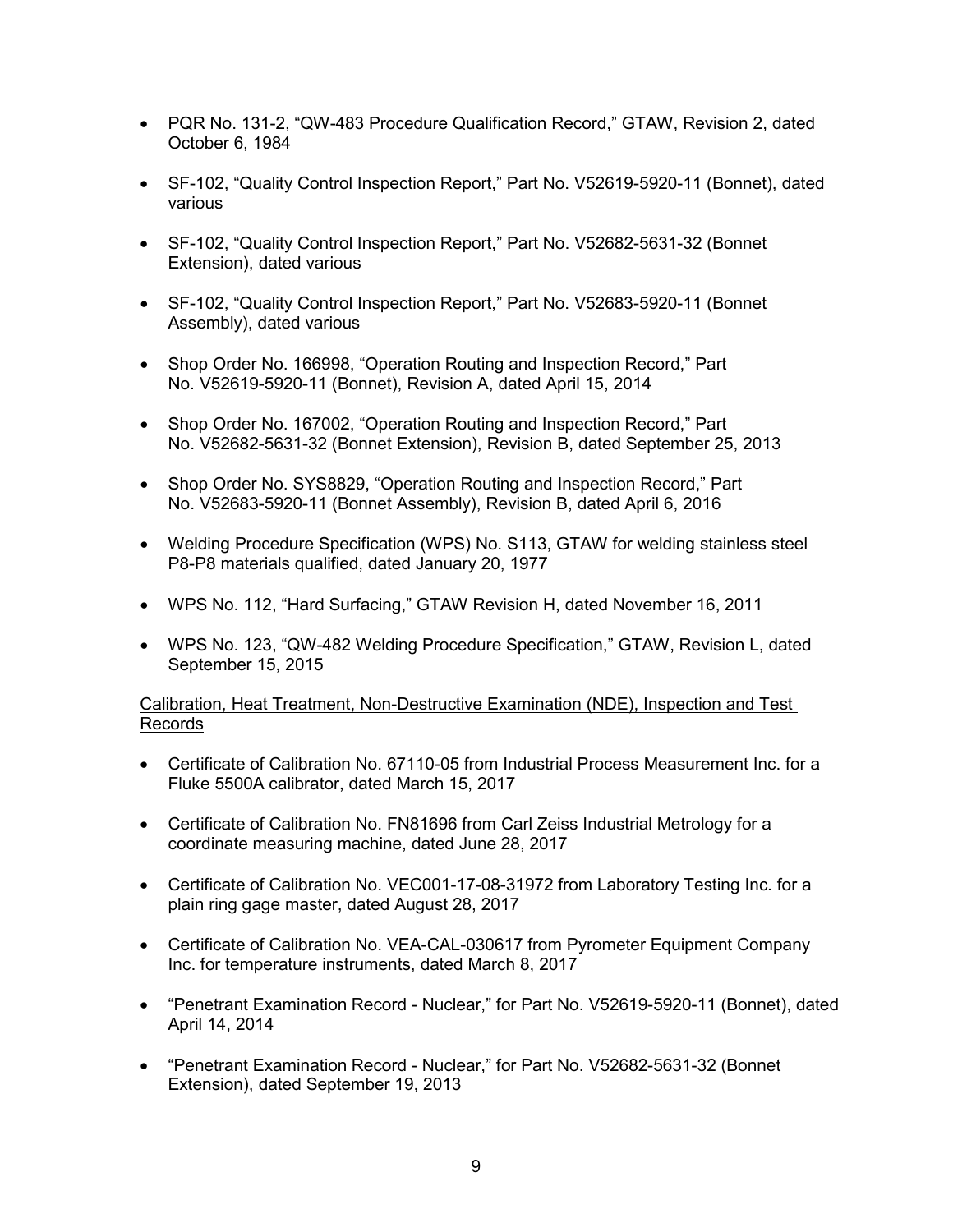- PQR No. 131-2, "QW-483 Procedure Qualification Record," GTAW, Revision 2, dated October 6, 1984
- SF-102, "Quality Control Inspection Report," Part No. V52619-5920-11 (Bonnet), dated various
- SF-102, "Quality Control Inspection Report," Part No. V52682-5631-32 (Bonnet Extension), dated various
- SF-102, "Quality Control Inspection Report," Part No. V52683-5920-11 (Bonnet Assembly), dated various
- Shop Order No. 166998, "Operation Routing and Inspection Record," Part No. V52619-5920-11 (Bonnet), Revision A, dated April 15, 2014
- Shop Order No. 167002, "Operation Routing and Inspection Record," Part No. V52682-5631-32 (Bonnet Extension), Revision B, dated September 25, 2013
- Shop Order No. SYS8829, "Operation Routing and Inspection Record," Part No. V52683-5920-11 (Bonnet Assembly), Revision B, dated April 6, 2016
- Welding Procedure Specification (WPS) No. S113, GTAW for welding stainless steel P8-P8 materials qualified, dated January 20, 1977
- WPS No. 112, "Hard Surfacing," GTAW Revision H, dated November 16, 2011
- WPS No. 123, "QW-482 Welding Procedure Specification," GTAW, Revision L, dated September 15, 2015

# Calibration, Heat Treatment, Non-Destructive Examination (NDE), Inspection and Test Records

- Certificate of Calibration No. 67110-05 from Industrial Process Measurement Inc. for a Fluke 5500A calibrator, dated March 15, 2017
- Certificate of Calibration No. FN81696 from Carl Zeiss Industrial Metrology for a coordinate measuring machine, dated June 28, 2017
- Certificate of Calibration No. VEC001-17-08-31972 from Laboratory Testing Inc. for a plain ring gage master, dated August 28, 2017
- Certificate of Calibration No. VEA-CAL-030617 from Pyrometer Equipment Company Inc. for temperature instruments, dated March 8, 2017
- "Penetrant Examination Record Nuclear," for Part No. V52619-5920-11 (Bonnet), dated April 14, 2014
- "Penetrant Examination Record Nuclear," for Part No. V52682-5631-32 (Bonnet Extension), dated September 19, 2013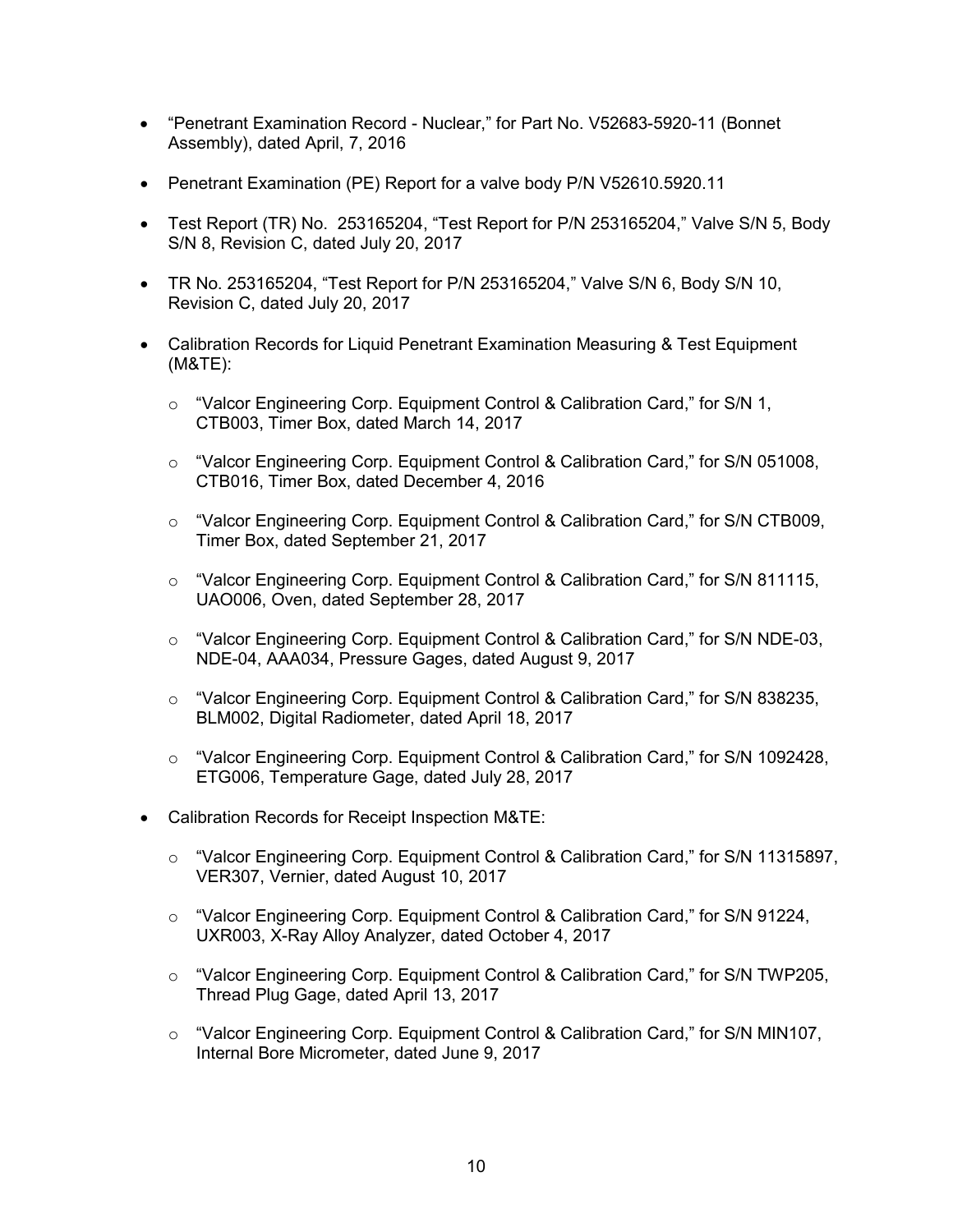- "Penetrant Examination Record Nuclear," for Part No. V52683-5920-11 (Bonnet Assembly), dated April, 7, 2016
- Penetrant Examination (PE) Report for a valve body P/N V52610.5920.11
- Test Report (TR) No. 253165204, "Test Report for P/N 253165204," Valve S/N 5, Body S/N 8, Revision C, dated July 20, 2017
- TR No. 253165204, "Test Report for P/N 253165204," Valve S/N 6, Body S/N 10, Revision C, dated July 20, 2017
- Calibration Records for Liquid Penetrant Examination Measuring & Test Equipment (M&TE):
	- o "Valcor Engineering Corp. Equipment Control & Calibration Card," for S/N 1, CTB003, Timer Box, dated March 14, 2017
	- o "Valcor Engineering Corp. Equipment Control & Calibration Card," for S/N 051008, CTB016, Timer Box, dated December 4, 2016
	- $\circ$  "Valcor Engineering Corp. Equipment Control & Calibration Card," for S/N CTB009, Timer Box, dated September 21, 2017
	- o "Valcor Engineering Corp. Equipment Control & Calibration Card," for S/N 811115, UAO006, Oven, dated September 28, 2017
	- $\circ$  "Valcor Engineering Corp. Equipment Control & Calibration Card," for S/N NDE-03, NDE-04, AAA034, Pressure Gages, dated August 9, 2017
	- $\circ$  "Valcor Engineering Corp. Equipment Control & Calibration Card," for S/N 838235, BLM002, Digital Radiometer, dated April 18, 2017
	- o "Valcor Engineering Corp. Equipment Control & Calibration Card," for S/N 1092428, ETG006, Temperature Gage, dated July 28, 2017
- Calibration Records for Receipt Inspection M&TE:
	- o "Valcor Engineering Corp. Equipment Control & Calibration Card," for S/N 11315897, VER307, Vernier, dated August 10, 2017
	- o "Valcor Engineering Corp. Equipment Control & Calibration Card," for S/N 91224, UXR003, X-Ray Alloy Analyzer, dated October 4, 2017
	- o "Valcor Engineering Corp. Equipment Control & Calibration Card," for S/N TWP205, Thread Plug Gage, dated April 13, 2017
	- $\circ$  "Valcor Engineering Corp. Equipment Control & Calibration Card," for S/N MIN107, Internal Bore Micrometer, dated June 9, 2017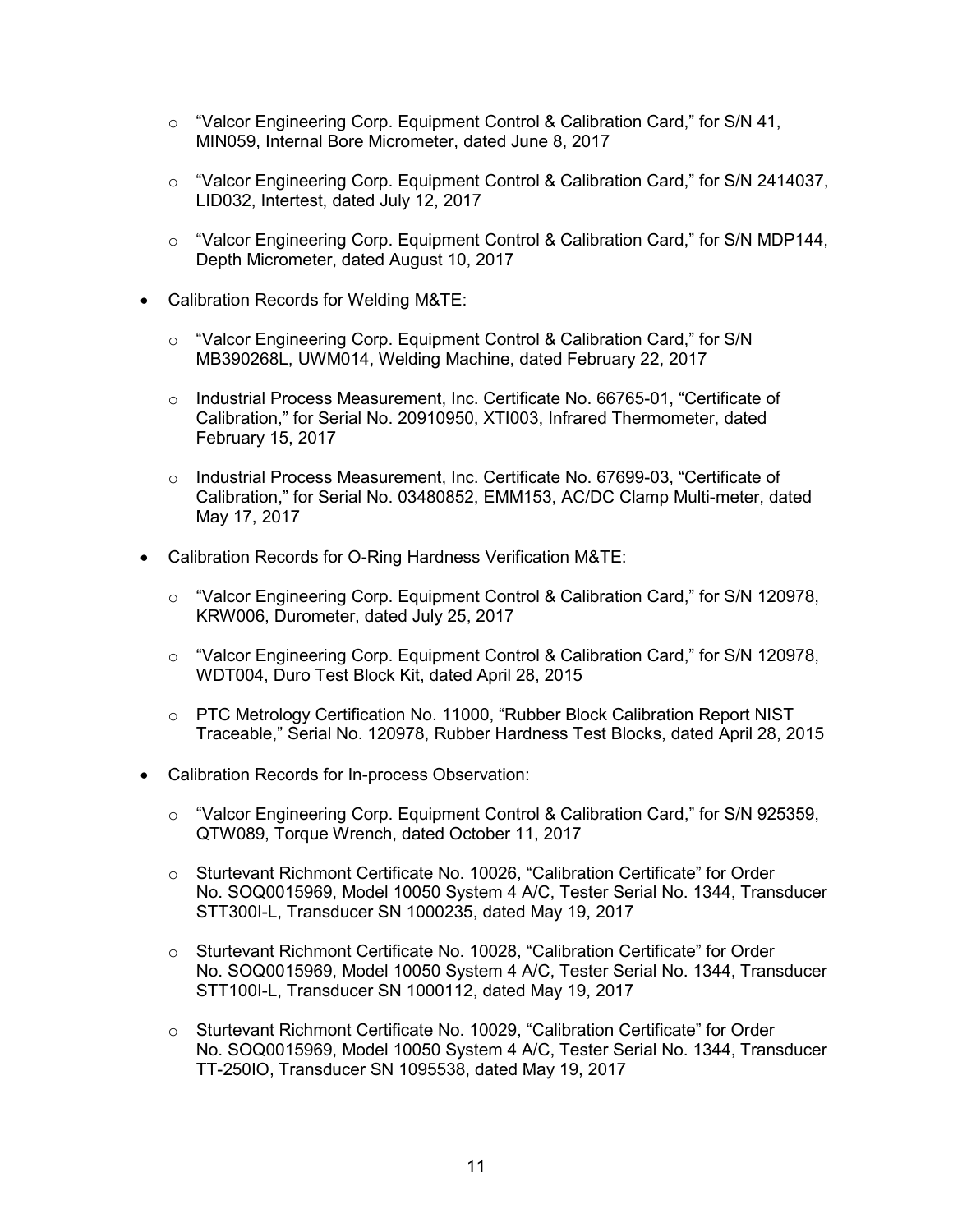- $\circ$  "Valcor Engineering Corp. Equipment Control & Calibration Card," for S/N 41, MIN059, Internal Bore Micrometer, dated June 8, 2017
- o "Valcor Engineering Corp. Equipment Control & Calibration Card," for S/N 2414037, LID032, Intertest, dated July 12, 2017
- o "Valcor Engineering Corp. Equipment Control & Calibration Card," for S/N MDP144, Depth Micrometer, dated August 10, 2017
- Calibration Records for Welding M&TE:
	- $\circ$  "Valcor Engineering Corp. Equipment Control & Calibration Card," for S/N MB390268L, UWM014, Welding Machine, dated February 22, 2017
	- o Industrial Process Measurement, Inc. Certificate No. 66765-01, "Certificate of Calibration," for Serial No. 20910950, XTI003, Infrared Thermometer, dated February 15, 2017
	- o Industrial Process Measurement, Inc. Certificate No. 67699-03, "Certificate of Calibration," for Serial No. 03480852, EMM153, AC/DC Clamp Multi-meter, dated May 17, 2017
- Calibration Records for O-Ring Hardness Verification M&TE:
	- o "Valcor Engineering Corp. Equipment Control & Calibration Card," for S/N 120978, KRW006, Durometer, dated July 25, 2017
	- $\circ$  "Valcor Engineering Corp. Equipment Control & Calibration Card," for S/N 120978, WDT004, Duro Test Block Kit, dated April 28, 2015
	- o PTC Metrology Certification No. 11000, "Rubber Block Calibration Report NIST Traceable," Serial No. 120978, Rubber Hardness Test Blocks, dated April 28, 2015
- Calibration Records for In-process Observation:
	- $\circ$  "Valcor Engineering Corp. Equipment Control & Calibration Card," for S/N 925359, QTW089, Torque Wrench, dated October 11, 2017
	- o Sturtevant Richmont Certificate No. 10026, "Calibration Certificate" for Order No. SOQ0015969, Model 10050 System 4 A/C, Tester Serial No. 1344, Transducer STT300I-L, Transducer SN 1000235, dated May 19, 2017
	- o Sturtevant Richmont Certificate No. 10028, "Calibration Certificate" for Order No. SOQ0015969, Model 10050 System 4 A/C, Tester Serial No. 1344, Transducer STT100I-L, Transducer SN 1000112, dated May 19, 2017
	- o Sturtevant Richmont Certificate No. 10029, "Calibration Certificate" for Order No. SOQ0015969, Model 10050 System 4 A/C, Tester Serial No. 1344, Transducer TT-250IO, Transducer SN 1095538, dated May 19, 2017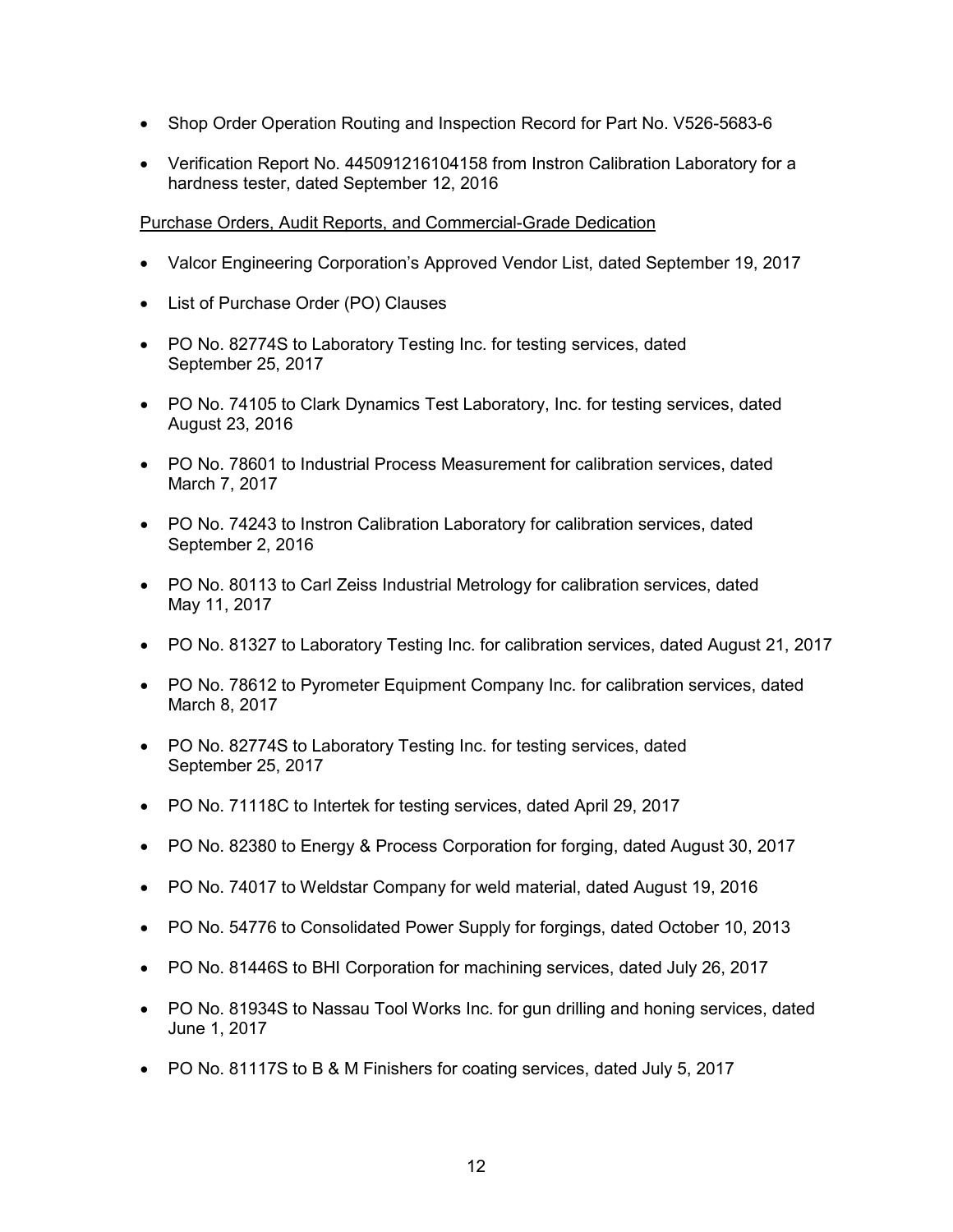- Shop Order Operation Routing and Inspection Record for Part No. V526-5683-6
- Verification Report No. 445091216104158 from Instron Calibration Laboratory for a hardness tester, dated September 12, 2016

### Purchase Orders, Audit Reports, and Commercial-Grade Dedication

- Valcor Engineering Corporation's Approved Vendor List, dated September 19, 2017
- List of Purchase Order (PO) Clauses
- PO No. 82774S to Laboratory Testing Inc. for testing services, dated September 25, 2017
- PO No. 74105 to Clark Dynamics Test Laboratory, Inc. for testing services, dated August 23, 2016
- PO No. 78601 to Industrial Process Measurement for calibration services, dated March 7, 2017
- PO No. 74243 to Instron Calibration Laboratory for calibration services, dated September 2, 2016
- PO No. 80113 to Carl Zeiss Industrial Metrology for calibration services, dated May 11, 2017
- PO No. 81327 to Laboratory Testing Inc. for calibration services, dated August 21, 2017
- PO No. 78612 to Pyrometer Equipment Company Inc. for calibration services, dated March 8, 2017
- PO No. 82774S to Laboratory Testing Inc. for testing services, dated September 25, 2017
- PO No. 71118C to Intertek for testing services, dated April 29, 2017
- PO No. 82380 to Energy & Process Corporation for forging, dated August 30, 2017
- PO No. 74017 to Weldstar Company for weld material, dated August 19, 2016
- PO No. 54776 to Consolidated Power Supply for forgings, dated October 10, 2013
- PO No. 81446S to BHI Corporation for machining services, dated July 26, 2017
- PO No. 81934S to Nassau Tool Works Inc. for gun drilling and honing services, dated June 1, 2017
- PO No. 81117S to B & M Finishers for coating services, dated July 5, 2017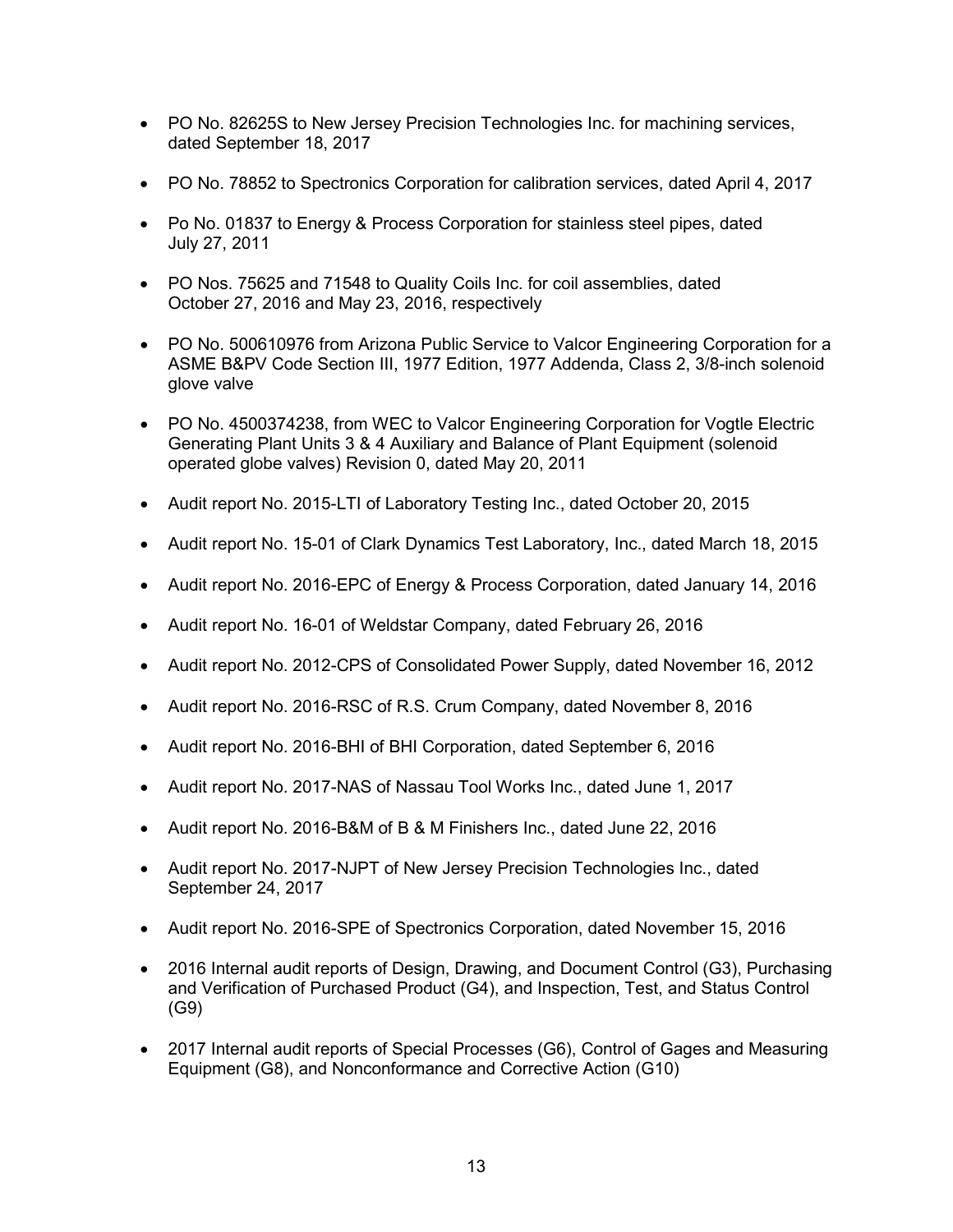- PO No. 82625S to New Jersey Precision Technologies Inc. for machining services, dated September 18, 2017
- PO No. 78852 to Spectronics Corporation for calibration services, dated April 4, 2017
- Po No. 01837 to Energy & Process Corporation for stainless steel pipes, dated July 27, 2011
- PO Nos. 75625 and 71548 to Quality Coils Inc. for coil assemblies, dated October 27, 2016 and May 23, 2016, respectively
- PO No. 500610976 from Arizona Public Service to Valcor Engineering Corporation for a ASME B&PV Code Section III, 1977 Edition, 1977 Addenda, Class 2, 3/8-inch solenoid glove valve
- PO No. 4500374238, from WEC to Valcor Engineering Corporation for Vogtle Electric Generating Plant Units 3 & 4 Auxiliary and Balance of Plant Equipment (solenoid operated globe valves) Revision 0, dated May 20, 2011
- Audit report No. 2015-LTI of Laboratory Testing Inc., dated October 20, 2015
- Audit report No. 15-01 of Clark Dynamics Test Laboratory, Inc., dated March 18, 2015
- Audit report No. 2016-EPC of Energy & Process Corporation, dated January 14, 2016
- Audit report No. 16-01 of Weldstar Company, dated February 26, 2016
- Audit report No. 2012-CPS of Consolidated Power Supply, dated November 16, 2012
- Audit report No. 2016-RSC of R.S. Crum Company, dated November 8, 2016
- Audit report No. 2016-BHI of BHI Corporation, dated September 6, 2016
- Audit report No. 2017-NAS of Nassau Tool Works Inc., dated June 1, 2017
- Audit report No. 2016-B&M of B & M Finishers Inc., dated June 22, 2016
- Audit report No. 2017-NJPT of New Jersey Precision Technologies Inc., dated September 24, 2017
- Audit report No. 2016-SPE of Spectronics Corporation, dated November 15, 2016
- 2016 Internal audit reports of Design, Drawing, and Document Control (G3), Purchasing and Verification of Purchased Product (G4), and Inspection, Test, and Status Control (G9)
- 2017 Internal audit reports of Special Processes (G6), Control of Gages and Measuring Equipment (G8), and Nonconformance and Corrective Action (G10)